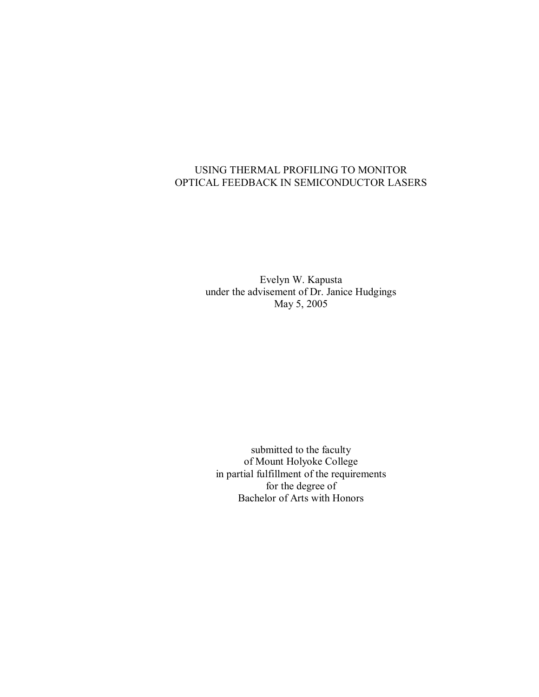# USING THERMAL PROFILING TO MONITOR OPTICAL FEEDBACK IN SEMICONDUCTOR LASERS

Evelyn W. Kapusta under the advisement of Dr. Janice Hudgings May 5, 2005

submitted to the faculty of Mount Holyoke College in partial fulfillment of the requirements for the degree of Bachelor of Arts with Honors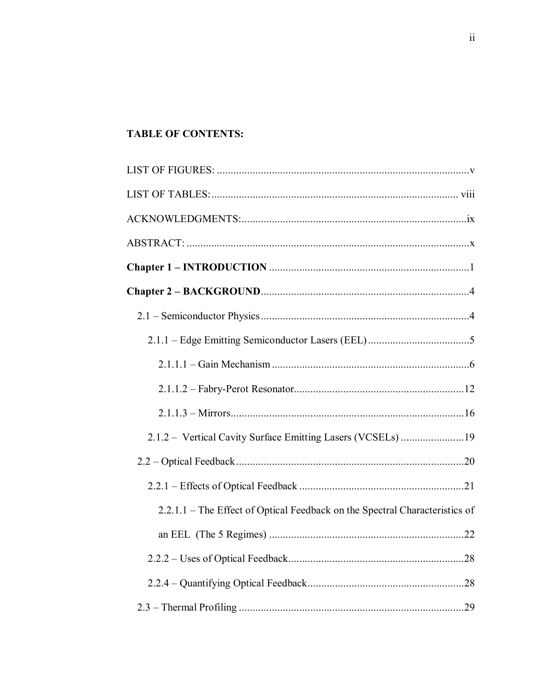# **TABLE OF CONTENTS:**

| 2.1.2 – Vertical Cavity Surface Emitting Lasers (VCSELs) 19                 |  |
|-----------------------------------------------------------------------------|--|
|                                                                             |  |
|                                                                             |  |
| 2.2.1.1 – The Effect of Optical Feedback on the Spectral Characteristics of |  |
|                                                                             |  |
|                                                                             |  |
|                                                                             |  |
|                                                                             |  |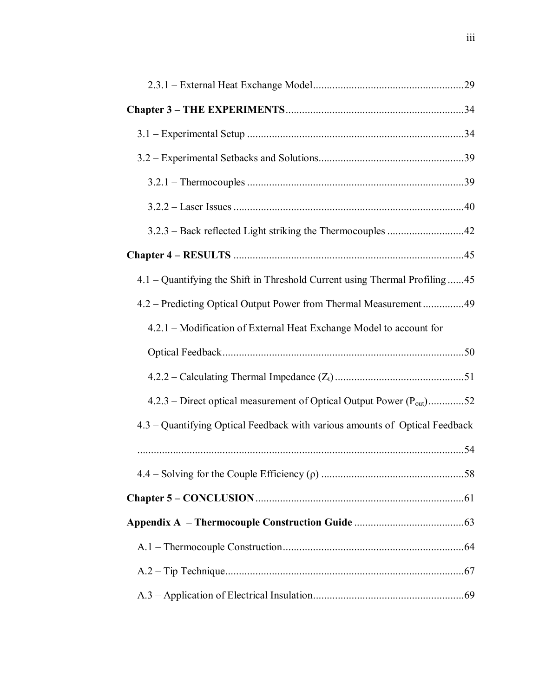| 4.1 – Quantifying the Shift in Threshold Current using Thermal Profiling45       |  |
|----------------------------------------------------------------------------------|--|
| 4.2 – Predicting Optical Output Power from Thermal Measurement49                 |  |
| 4.2.1 – Modification of External Heat Exchange Model to account for              |  |
|                                                                                  |  |
|                                                                                  |  |
|                                                                                  |  |
| 4.2.3 – Direct optical measurement of Optical Output Power (P <sub>out</sub> )52 |  |
| 4.3 - Quantifying Optical Feedback with various amounts of Optical Feedback      |  |
|                                                                                  |  |
|                                                                                  |  |
|                                                                                  |  |
|                                                                                  |  |
|                                                                                  |  |
|                                                                                  |  |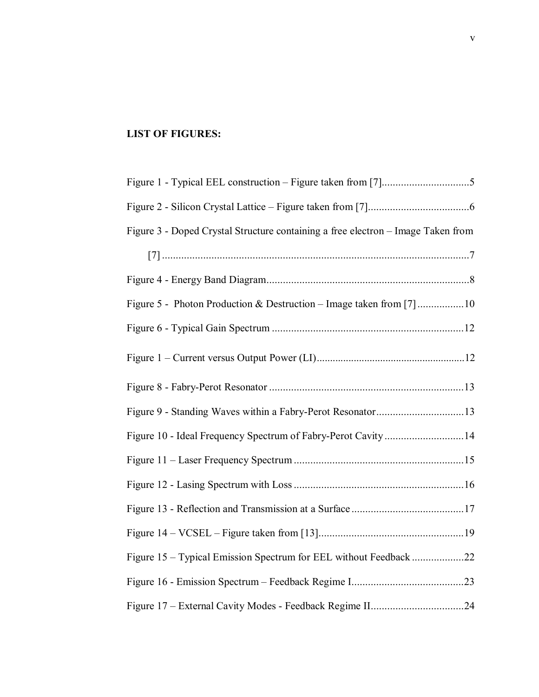# **LIST OF FIGURES:**

| Figure 3 - Doped Crystal Structure containing a free electron - Image Taken from |
|----------------------------------------------------------------------------------|
|                                                                                  |
|                                                                                  |
|                                                                                  |
|                                                                                  |
|                                                                                  |
|                                                                                  |
|                                                                                  |
|                                                                                  |
|                                                                                  |
|                                                                                  |
|                                                                                  |
|                                                                                  |
| Figure 15 - Typical Emission Spectrum for EEL without Feedback 22                |
|                                                                                  |
|                                                                                  |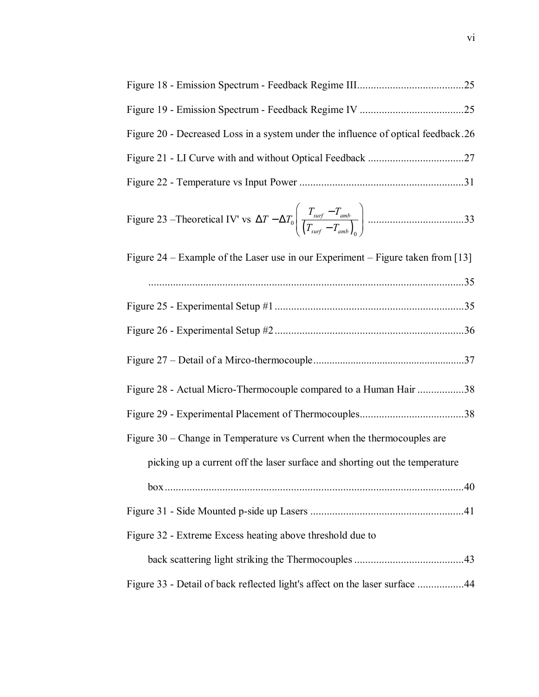| Figure 20 - Decreased Loss in a system under the influence of optical feedback.26 |
|-----------------------------------------------------------------------------------|
|                                                                                   |
|                                                                                   |
|                                                                                   |
| Figure 24 – Example of the Laser use in our Experiment – Figure taken from [13]   |
|                                                                                   |
|                                                                                   |
|                                                                                   |
|                                                                                   |
| Figure 28 - Actual Micro-Thermocouple compared to a Human Hair 38                 |
|                                                                                   |
| Figure 30 – Change in Temperature vs Current when the thermocouples are           |
| picking up a current off the laser surface and shorting out the temperature       |
|                                                                                   |
|                                                                                   |
| Figure 32 - Extreme Excess heating above threshold due to                         |
|                                                                                   |
| Figure 33 - Detail of back reflected light's affect on the laser surface 44       |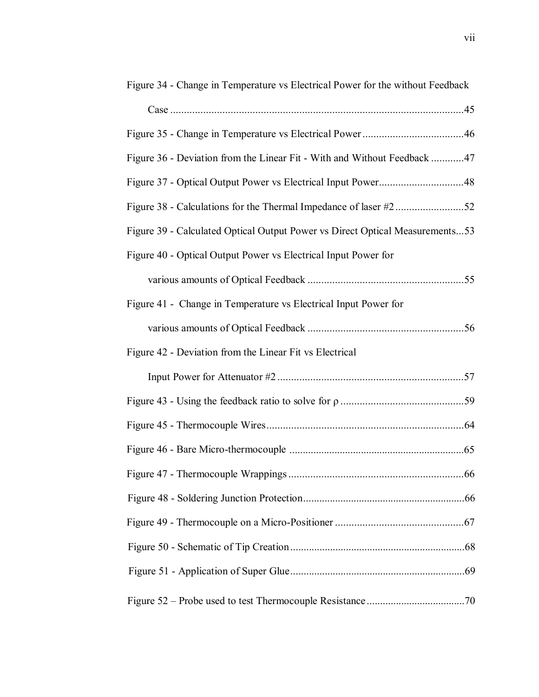| Figure 34 - Change in Temperature vs Electrical Power for the without Feedback |
|--------------------------------------------------------------------------------|
|                                                                                |
|                                                                                |
| Figure 36 - Deviation from the Linear Fit - With and Without Feedback 47       |
| Figure 37 - Optical Output Power vs Electrical Input Power48                   |
|                                                                                |
| Figure 39 - Calculated Optical Output Power vs Direct Optical Measurements53   |
| Figure 40 - Optical Output Power vs Electrical Input Power for                 |
|                                                                                |
| Figure 41 - Change in Temperature vs Electrical Input Power for                |
|                                                                                |
| Figure 42 - Deviation from the Linear Fit vs Electrical                        |
|                                                                                |
|                                                                                |
|                                                                                |
|                                                                                |
|                                                                                |
|                                                                                |
|                                                                                |
|                                                                                |
|                                                                                |
|                                                                                |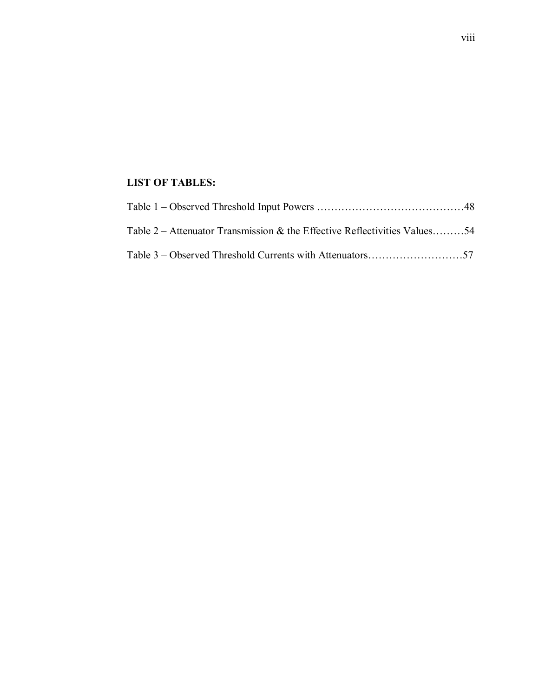## **LIST OF TABLES:**

| Table 2 – Attenuator Transmission & the Effective Reflectivities Values54 |  |
|---------------------------------------------------------------------------|--|
|                                                                           |  |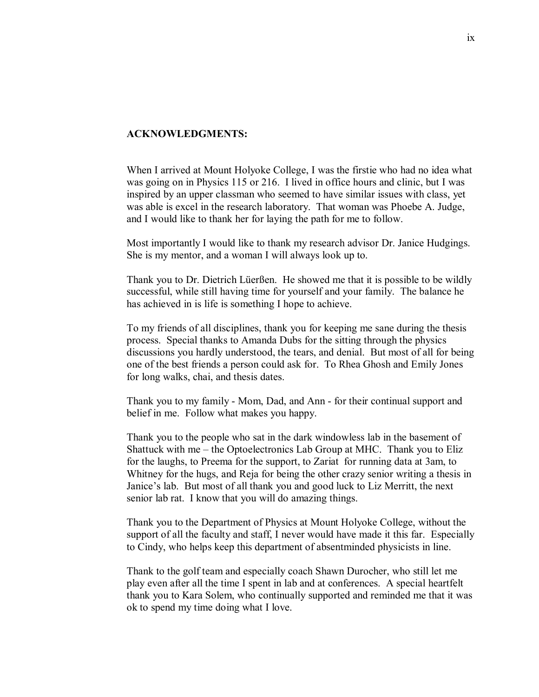### **ACKNOWLEDGMENTS:**

When I arrived at Mount Holyoke College, I was the firstie who had no idea what was going on in Physics 115 or 216. I lived in office hours and clinic, but I was inspired by an upper classman who seemed to have similar issues with class, yet was able is excel in the research laboratory. That woman was Phoebe A. Judge, and I would like to thank her for laying the path for me to follow.

Most importantly I would like to thank my research advisor Dr. Janice Hudgings. She is my mentor, and a woman I will always look up to.

Thank you to Dr. Dietrich Lüerßen. He showed me that it is possible to be wildly successful, while still having time for yourself and your family. The balance he has achieved in is life is something I hope to achieve.

To my friends of all disciplines, thank you for keeping me sane during the thesis process. Special thanks to Amanda Dubs for the sitting through the physics discussions you hardly understood, the tears, and denial. But most of all for being one of the best friends a person could ask for. To Rhea Ghosh and Emily Jones for long walks, chai, and thesis dates.

Thank you to my family - Mom, Dad, and Ann - for their continual support and belief in me. Follow what makes you happy.

Thank you to the people who sat in the dark windowless lab in the basement of Shattuck with me  $-$  the Optoelectronics Lab Group at MHC. Thank you to Eliz for the laughs, to Preema for the support, to Zariat for running data at 3am, to Whitney for the hugs, and Reja for being the other crazy senior writing a thesis in Janice's lab. But most of all thank you and good luck to Liz Merritt, the next senior lab rat. I know that you will do amazing things.

Thank you to the Department of Physics at Mount Holyoke College, without the support of all the faculty and staff, I never would have made it this far. Especially to Cindy, who helps keep this department of absentminded physicists in line.

Thank to the golf team and especially coach Shawn Durocher, who still let me play even after all the time I spent in lab and at conferences. A special heartfelt thank you to Kara Solem, who continually supported and reminded me that it was ok to spend my time doing what I love.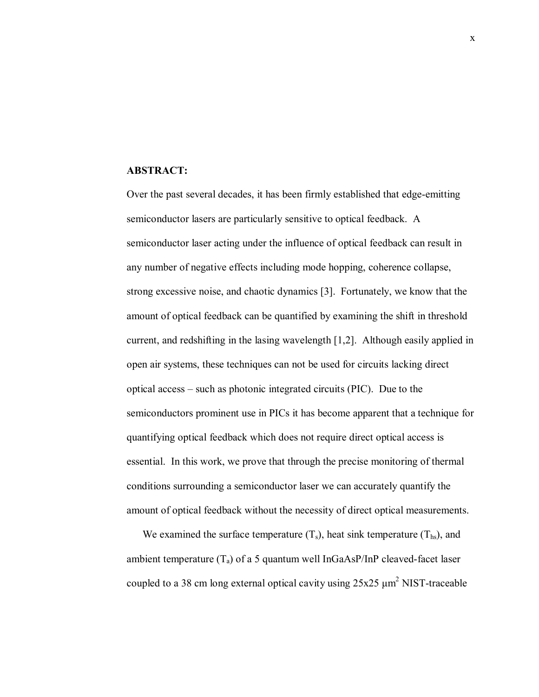#### **ABSTRACT:**

Over the past several decades, it has been firmly established that edge-emitting semiconductor lasers are particularly sensitive to optical feedback. A semiconductor laser acting under the influence of optical feedback can result in any number of negative effects including mode hopping, coherence collapse, strong excessive noise, and chaotic dynamics [3]. Fortunately, we know that the amount of optical feedback can be quantified by examining the shift in threshold current, and redshifting in the lasing wavelength [1,2]. Although easily applied in open air systems, these techniques can not be used for circuits lacking direct optical access  $-$  such as photonic integrated circuits (PIC). Due to the semiconductors prominent use in PICs it has become apparent that a technique for quantifying optical feedback which does not require direct optical access is essential. In this work, we prove that through the precise monitoring of thermal conditions surrounding a semiconductor laser we can accurately quantify the amount of optical feedback without the necessity of direct optical measurements.

We examined the surface temperature  $(T_s)$ , heat sink temperature  $(T_{hs})$ , and ambient temperature  $(T_a)$  of a 5 quantum well InGaAsP/InP cleaved-facet laser coupled to a 38 cm long external optical cavity using  $25x25 \mu m^2$  NIST-traceable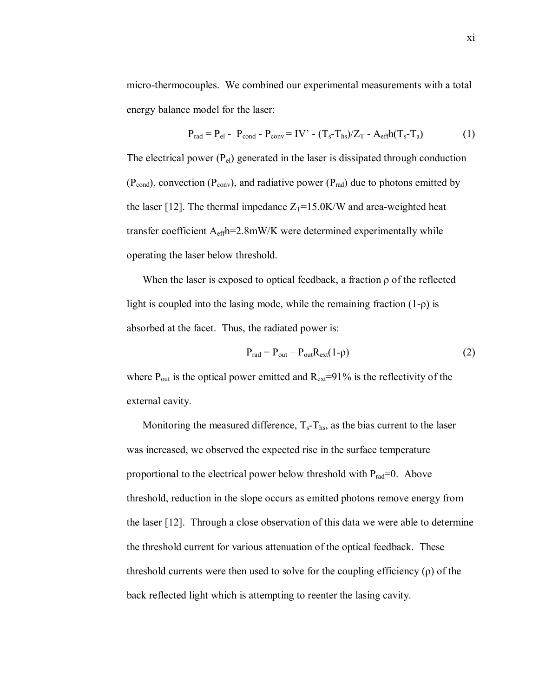micro-thermocouples. We combined our experimental measurements with a total energy balance model for the laser:

$$
P_{rad} = P_{el} - P_{cond} - P_{conv} = IV' - (T_s - T_{hs})/Z_T - A_{eff}h(T_s - T_a)
$$
 (1)

The electrical power  $(P_{el})$  generated in the laser is dissipated through conduction  $(P_{cond})$ , convection  $(P_{conv})$ , and radiative power  $(P_{rad})$  due to photons emitted by the laser [12]. The thermal impedance  $Z_T = 15.0$ K/W and area-weighted heat transfer coefficient Aeffh=2.8mW/K were determined experimentally while operating the laser below threshold.

When the laser is exposed to optical feedback, a fraction ρ of the reflected light is coupled into the lasing mode, while the remaining fraction  $(1-\rho)$  is absorbed at the facet. Thus, the radiated power is:

$$
P_{rad} = P_{out} - P_{out}R_{ext}(1-\rho)
$$
 (2)

where  $P_{out}$  is the optical power emitted and  $R_{ext}=91\%$  is the reflectivity of the external cavity.

Monitoring the measured difference,  $T_s - T_{hs}$ , as the bias current to the laser was increased, we observed the expected rise in the surface temperature proportional to the electrical power below threshold with  $P_{rad}=0$ . Above threshold, reduction in the slope occurs as emitted photons remove energy from the laser [12]. Through a close observation of this data we were able to determine the threshold current for various attenuation of the optical feedback. These threshold currents were then used to solve for the coupling efficiency  $(\rho)$  of the back reflected light which is attempting to reenter the lasing cavity.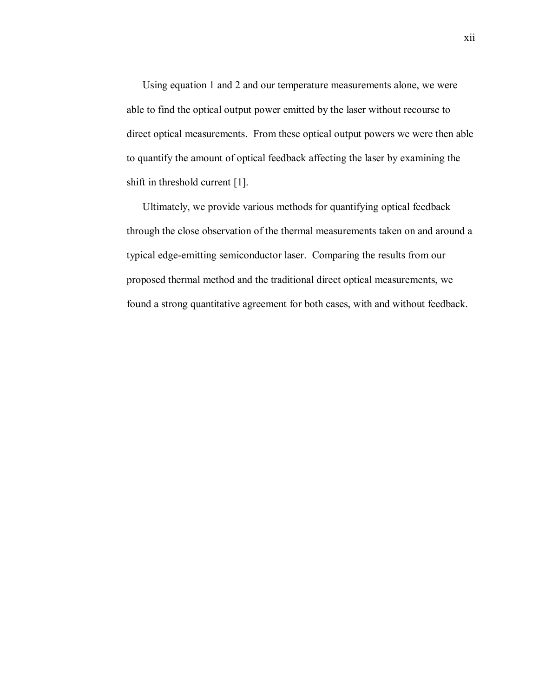Using equation 1 and 2 and our temperature measurements alone, we were able to find the optical output power emitted by the laser without recourse to direct optical measurements. From these optical output powers we were then able to quantify the amount of optical feedback affecting the laser by examining the shift in threshold current [1].

Ultimately, we provide various methods for quantifying optical feedback through the close observation of the thermal measurements taken on and around a typical edge-emitting semiconductor laser. Comparing the results from our proposed thermal method and the traditional direct optical measurements, we found a strong quantitative agreement for both cases, with and without feedback.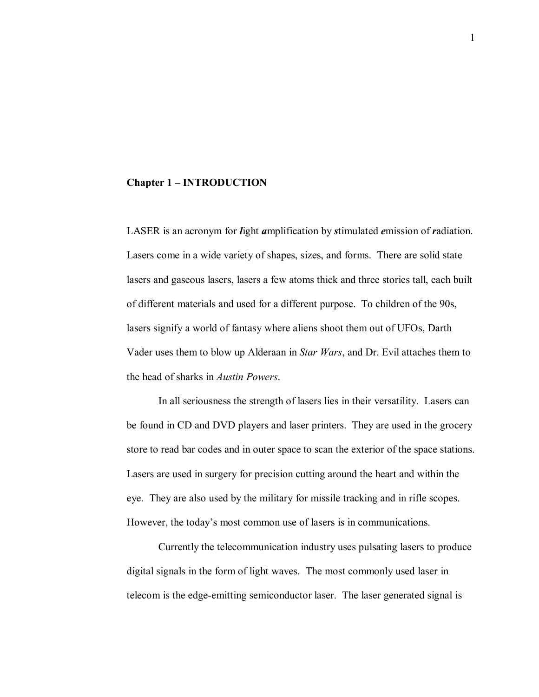#### **Chapter 1 – INTRODUCTION**

LASER is an acronym for *l*ight *a*mplification by *s*timulated *e*mission of *r*adiation. Lasers come in a wide variety of shapes, sizes, and forms. There are solid state lasers and gaseous lasers, lasers a few atoms thick and three stories tall, each built of different materials and used for a different purpose. To children of the 90s, lasers signify a world of fantasy where aliens shoot them out of UFOs, Darth Vader uses them to blow up Alderaan in *Star Wars*, and Dr. Evil attaches them to the head of sharks in *Austin Powers*.

In all seriousness the strength of lasers lies in their versatility. Lasers can be found in CD and DVD players and laser printers. They are used in the grocery store to read bar codes and in outer space to scan the exterior of the space stations. Lasers are used in surgery for precision cutting around the heart and within the eye. They are also used by the military for missile tracking and in rifle scopes. However, the today's most common use of lasers is in communications.

Currently the telecommunication industry uses pulsating lasers to produce digital signals in the form of light waves. The most commonly used laser in telecom is the edge-emitting semiconductor laser. The laser generated signal is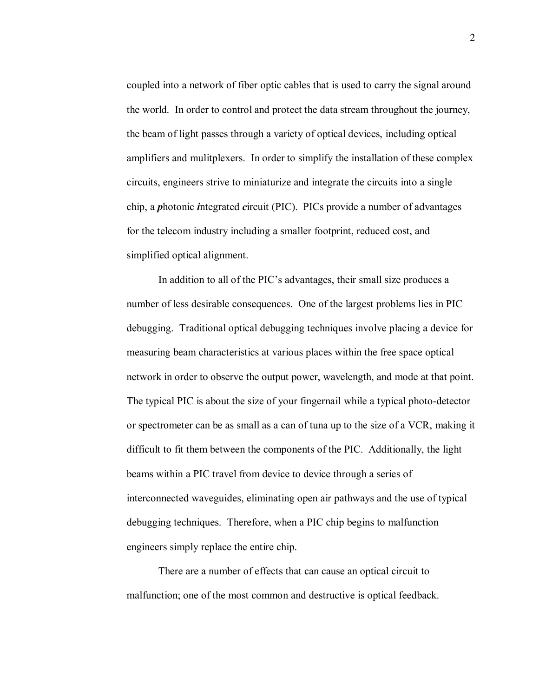coupled into a network of fiber optic cables that is used to carry the signal around the world. In order to control and protect the data stream throughout the journey, the beam of light passes through a variety of optical devices, including optical amplifiers and mulitplexers. In order to simplify the installation of these complex circuits, engineers strive to miniaturize and integrate the circuits into a single chip, a *p*hotonic *i*ntegrated *c*ircuit (PIC). PICs provide a number of advantages for the telecom industry including a smaller footprint, reduced cost, and simplified optical alignment.

In addition to all of the PIC's advantages, their small size produces a number of less desirable consequences. One of the largest problems lies in PIC debugging. Traditional optical debugging techniques involve placing a device for measuring beam characteristics at various places within the free space optical network in order to observe the output power, wavelength, and mode at that point. The typical PIC is about the size of your fingernail while a typical photo-detector or spectrometer can be as small as a can of tuna up to the size of a VCR, making it difficult to fit them between the components of the PIC. Additionally, the light beams within a PIC travel from device to device through a series of interconnected waveguides, eliminating open air pathways and the use of typical debugging techniques. Therefore, when a PIC chip begins to malfunction engineers simply replace the entire chip.

There are a number of effects that can cause an optical circuit to malfunction; one of the most common and destructive is optical feedback.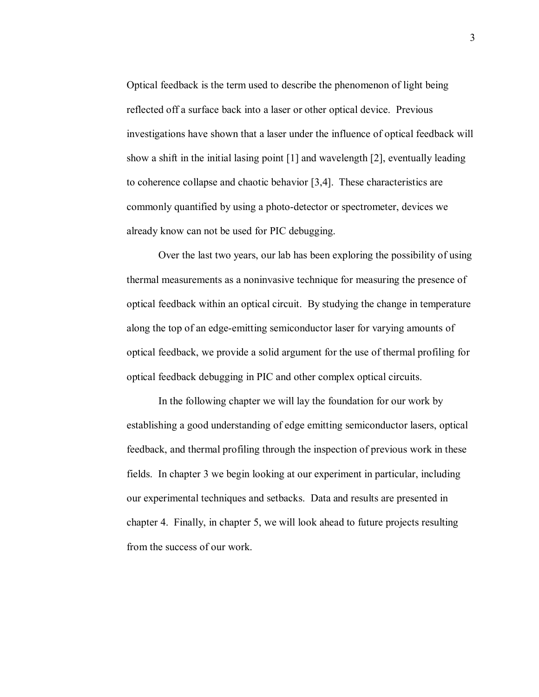Optical feedback is the term used to describe the phenomenon of light being reflected off a surface back into a laser or other optical device. Previous investigations have shown that a laser under the influence of optical feedback will show a shift in the initial lasing point [1] and wavelength [2], eventually leading to coherence collapse and chaotic behavior [3,4]. These characteristics are commonly quantified by using a photo-detector or spectrometer, devices we already know can not be used for PIC debugging.

Over the last two years, our lab has been exploring the possibility of using thermal measurements as a noninvasive technique for measuring the presence of optical feedback within an optical circuit. By studying the change in temperature along the top of an edge-emitting semiconductor laser for varying amounts of optical feedback, we provide a solid argument for the use of thermal profiling for optical feedback debugging in PIC and other complex optical circuits.

In the following chapter we will lay the foundation for our work by establishing a good understanding of edge emitting semiconductor lasers, optical feedback, and thermal profiling through the inspection of previous work in these fields. In chapter 3 we begin looking at our experiment in particular, including our experimental techniques and setbacks. Data and results are presented in chapter 4. Finally, in chapter 5, we will look ahead to future projects resulting from the success of our work.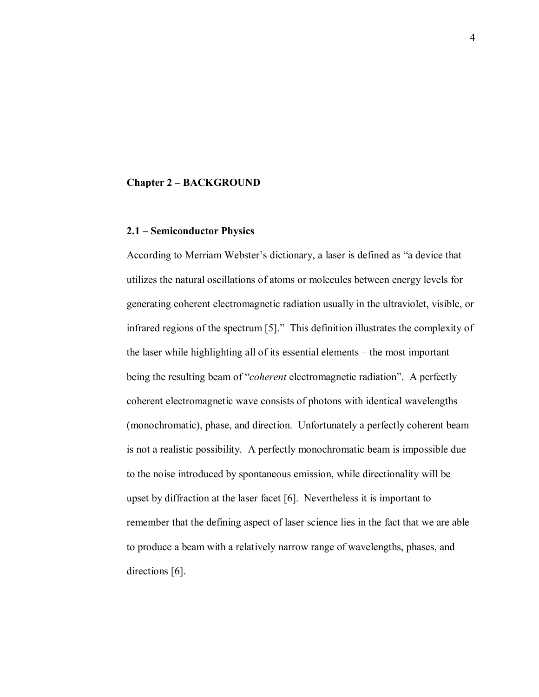#### **Chapter 2 – BACKGROUND**

## **2.1 – Semiconductor Physics**

According to Merriam Webster's dictionary, a laser is defined as "a device that utilizes the natural oscillations of atoms or molecules between energy levels for generating coherent electromagnetic radiation usually in the ultraviolet, visible, or infrared regions of the spectrum  $[5]$ ." This definition illustrates the complexity of the laser while highlighting all of its essential elements – the most important being the resulting beam of "*coherent* electromagnetic radiation". A perfectly coherent electromagnetic wave consists of photons with identical wavelengths (monochromatic), phase, and direction. Unfortunately a perfectly coherent beam is not a realistic possibility. A perfectly monochromatic beam is impossible due to the noise introduced by spontaneous emission, while directionality will be upset by diffraction at the laser facet [6]. Nevertheless it is important to remember that the defining aspect of laser science lies in the fact that we are able to produce a beam with a relatively narrow range of wavelengths, phases, and directions [6].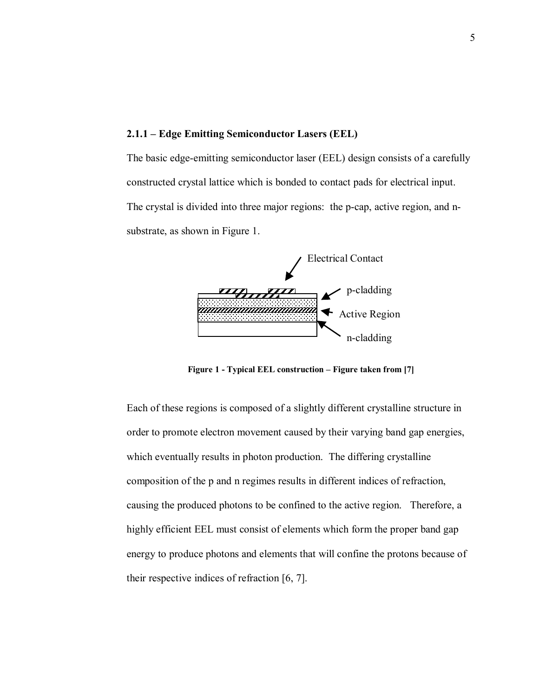#### **2.1.1 – Edge Emitting Semiconductor Lasers (EEL)**

The basic edge-emitting semiconductor laser (EEL) design consists of a carefully constructed crystal lattice which is bonded to contact pads for electrical input. The crystal is divided into three major regions: the p-cap, active region, and nsubstrate, as shown in Figure 1.



**Figure 1 - Typical EEL construction – Figure taken from [7]** 

Each of these regions is composed of a slightly different crystalline structure in order to promote electron movement caused by their varying band gap energies, which eventually results in photon production. The differing crystalline composition of the p and n regimes results in different indices of refraction, causing the produced photons to be confined to the active region. Therefore, a highly efficient EEL must consist of elements which form the proper band gap energy to produce photons and elements that will confine the protons because of their respective indices of refraction [6, 7].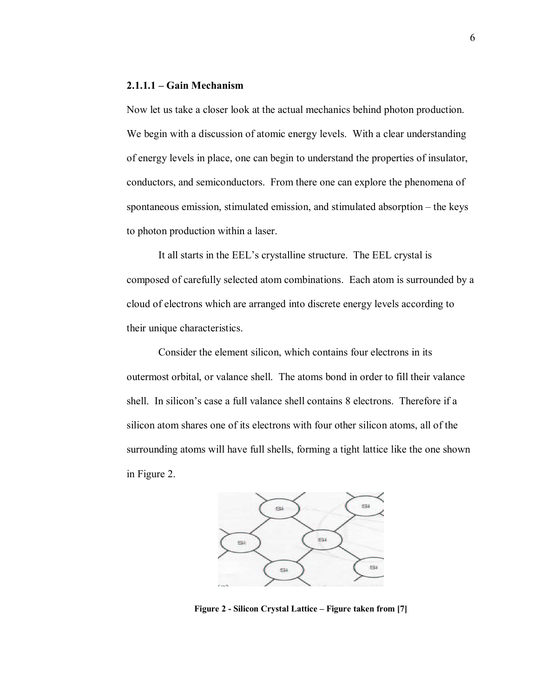## **2.1.1.1 – Gain Mechanism**

Now let us take a closer look at the actual mechanics behind photon production. We begin with a discussion of atomic energy levels. With a clear understanding of energy levels in place, one can begin to understand the properties of insulator, conductors, and semiconductors. From there one can explore the phenomena of spontaneous emission, stimulated emission, and stimulated absorption – the keys to photon production within a laser.

It all starts in the EEL's crystalline structure. The EEL crystal is composed of carefully selected atom combinations. Each atom is surrounded by a cloud of electrons which are arranged into discrete energy levels according to their unique characteristics.

Consider the element silicon, which contains four electrons in its outermost orbital, or valance shell. The atoms bond in order to fill their valance shell. In silicon's case a full valance shell contains 8 electrons. Therefore if a silicon atom shares one of its electrons with four other silicon atoms, all of the surrounding atoms will have full shells, forming a tight lattice like the one shown in Figure 2.



Figure 2 - Silicon Crystal Lattice – Figure taken from [7]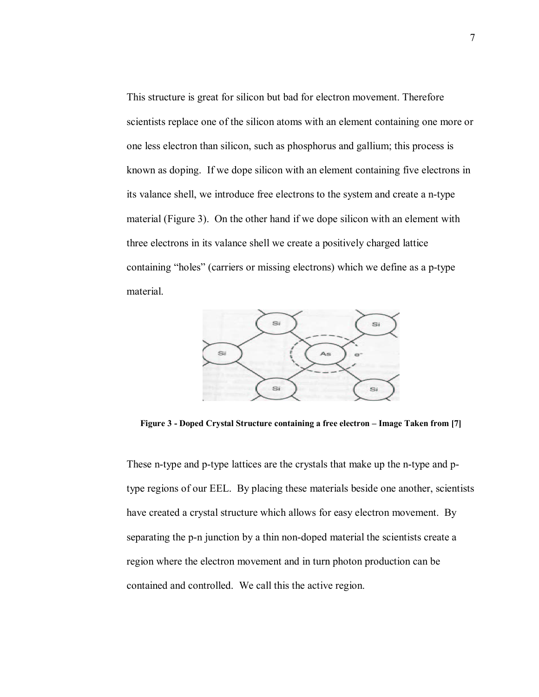This structure is great for silicon but bad for electron movement. Therefore scientists replace one of the silicon atoms with an element containing one more or one less electron than silicon, such as phosphorus and gallium; this process is known as doping. If we dope silicon with an element containing five electrons in its valance shell, we introduce free electrons to the system and create a n-type material (Figure 3). On the other hand if we dope silicon with an element with three electrons in its valance shell we create a positively charged lattice containing "holes" (carriers or missing electrons) which we define as a p-type material.



Figure 3 - Doped Crystal Structure containing a free electron - Image Taken from [7]

These n-type and p-type lattices are the crystals that make up the n-type and ptype regions of our EEL. By placing these materials beside one another, scientists have created a crystal structure which allows for easy electron movement. By separating the p-n junction by a thin non-doped material the scientists create a region where the electron movement and in turn photon production can be contained and controlled. We call this the active region.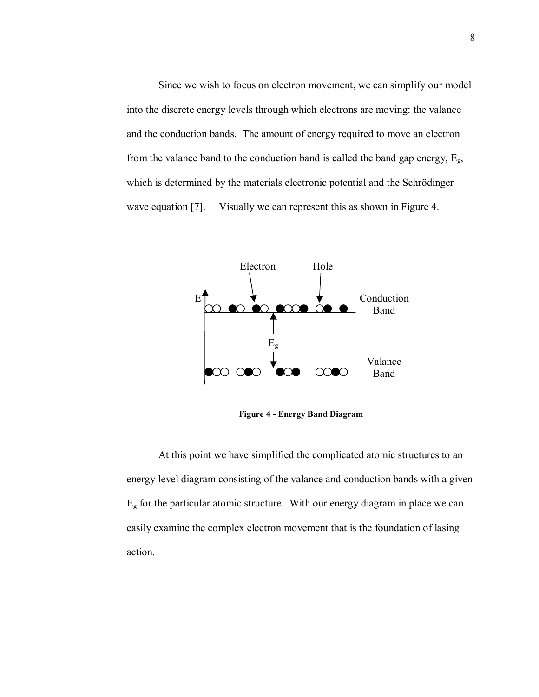Since we wish to focus on electron movement, we can simplify our model into the discrete energy levels through which electrons are moving: the valance and the conduction bands. The amount of energy required to move an electron from the valance band to the conduction band is called the band gap energy,  $E_g$ , which is determined by the materials electronic potential and the Schrödinger wave equation [7]. Visually we can represent this as shown in Figure 4.



**Figure 4 - Energy Band Diagram** 

At this point we have simplified the complicated atomic structures to an energy level diagram consisting of the valance and conduction bands with a given  $E<sub>g</sub>$  for the particular atomic structure. With our energy diagram in place we can easily examine the complex electron movement that is the foundation of lasing action.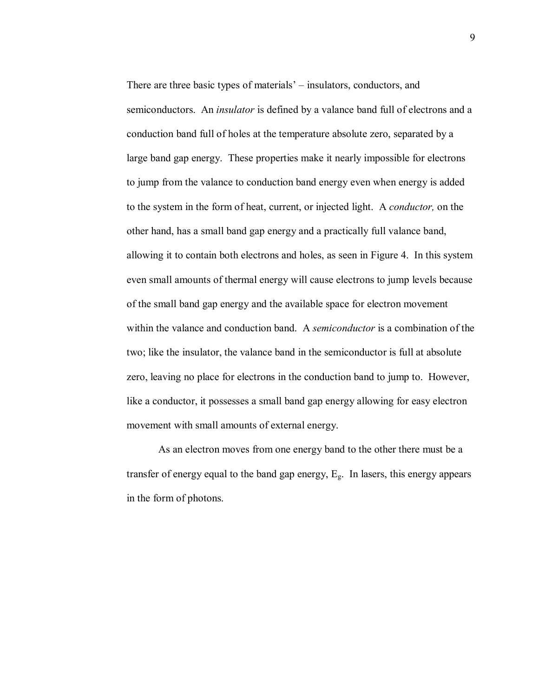There are three basic types of materials<sup>'</sup> – insulators, conductors, and semiconductors. An *insulator* is defined by a valance band full of electrons and a conduction band full of holes at the temperature absolute zero, separated by a large band gap energy. These properties make it nearly impossible for electrons to jump from the valance to conduction band energy even when energy is added to the system in the form of heat, current, or injected light. A *conductor,* on the other hand, has a small band gap energy and a practically full valance band, allowing it to contain both electrons and holes, as seen in Figure 4. In this system even small amounts of thermal energy will cause electrons to jump levels because of the small band gap energy and the available space for electron movement within the valance and conduction band. A *semiconductor* is a combination of the two; like the insulator, the valance band in the semiconductor is full at absolute zero, leaving no place for electrons in the conduction band to jump to. However, like a conductor, it possesses a small band gap energy allowing for easy electron movement with small amounts of external energy.

As an electron moves from one energy band to the other there must be a transfer of energy equal to the band gap energy,  $E<sub>g</sub>$ . In lasers, this energy appears in the form of photons.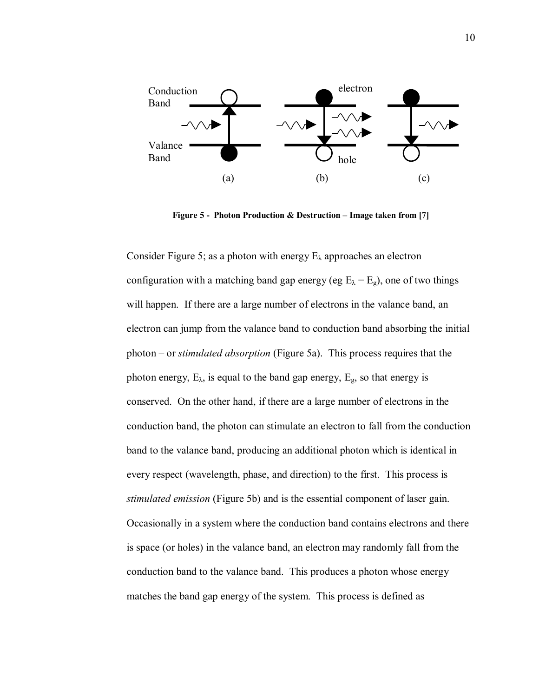

**Figure 5 - Photon Production & Destruction – Image taken from [7]** 

Consider Figure 5; as a photon with energy  $E_{\lambda}$  approaches an electron configuration with a matching band gap energy (eg  $E_{\lambda} = E_{g}$ ), one of two things will happen. If there are a large number of electrons in the valance band, an electron can jump from the valance band to conduction band absorbing the initial photon – or *stimulated absorption* (Figure 5a). This process requires that the photon energy,  $E_{\lambda}$ , is equal to the band gap energy,  $E_{g}$ , so that energy is conserved. On the other hand, if there are a large number of electrons in the conduction band, the photon can stimulate an electron to fall from the conduction band to the valance band, producing an additional photon which is identical in every respect (wavelength, phase, and direction) to the first. This process is *stimulated emission* (Figure 5b) and is the essential component of laser gain. Occasionally in a system where the conduction band contains electrons and there is space (or holes) in the valance band, an electron may randomly fall from the conduction band to the valance band. This produces a photon whose energy matches the band gap energy of the system. This process is defined as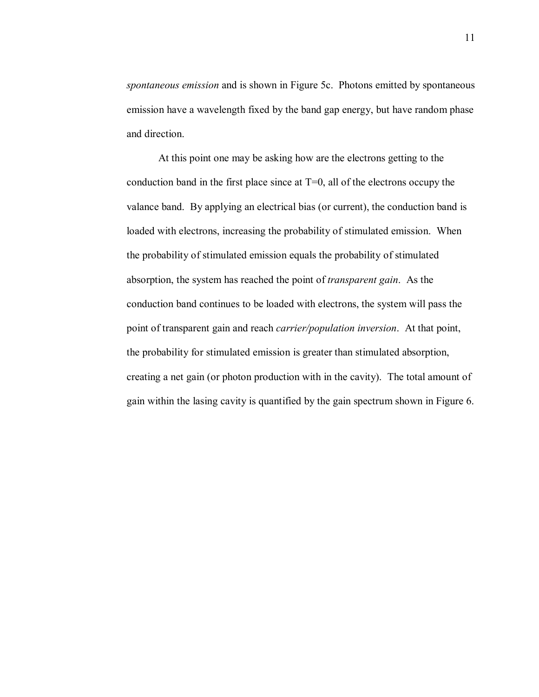*spontaneous emission* and is shown in Figure 5c. Photons emitted by spontaneous emission have a wavelength fixed by the band gap energy, but have random phase and direction.

At this point one may be asking how are the electrons getting to the conduction band in the first place since at  $T=0$ , all of the electrons occupy the valance band. By applying an electrical bias (or current), the conduction band is loaded with electrons, increasing the probability of stimulated emission. When the probability of stimulated emission equals the probability of stimulated absorption, the system has reached the point of *transparent gain*. As the conduction band continues to be loaded with electrons, the system will pass the point of transparent gain and reach *carrier/population inversion*. At that point, the probability for stimulated emission is greater than stimulated absorption, creating a net gain (or photon production with in the cavity). The total amount of gain within the lasing cavity is quantified by the gain spectrum shown in Figure 6.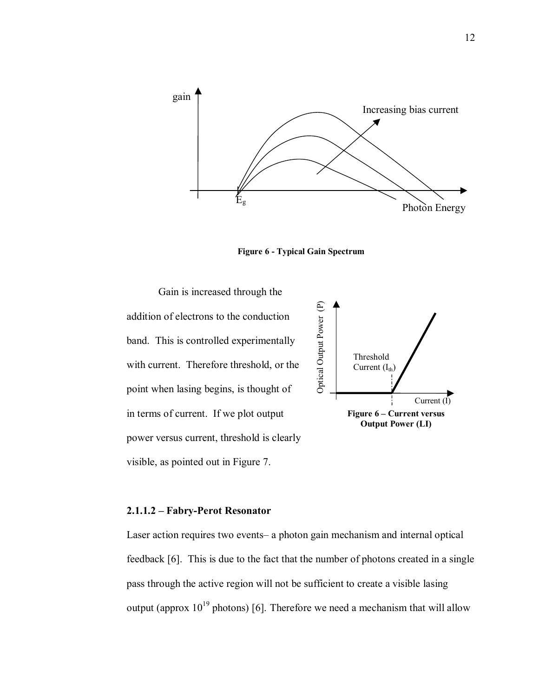

**Figure 6 - Typical Gain Spectrum** 

Gain is increased through the addition of electrons to the conduction band. This is controlled experimentally with current. Therefore threshold, or the point when lasing begins, is thought of in terms of current. If we plot output power versus current, threshold is clearly visible, as pointed out in Figure 7.



#### **2.1.1.2 – Fabry-Perot Resonator**

Laser action requires two events– a photon gain mechanism and internal optical feedback [6]. This is due to the fact that the number of photons created in a single pass through the active region will not be sufficient to create a visible lasing output (approx  $10^{19}$  photons) [6]. Therefore we need a mechanism that will allow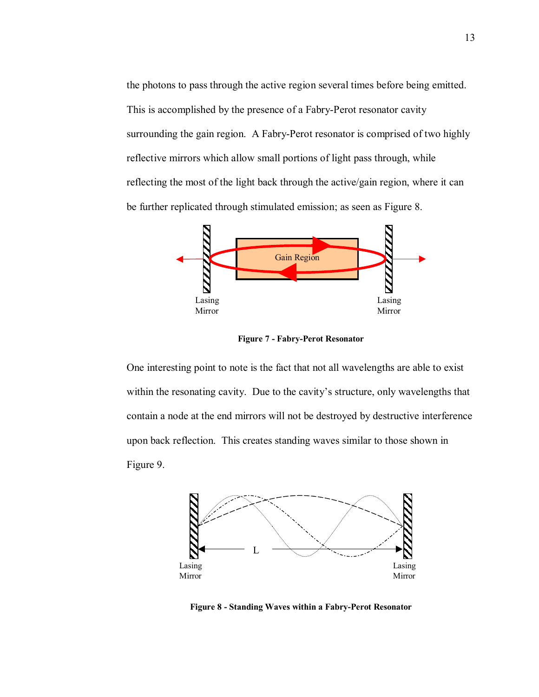the photons to pass through the active region several times before being emitted. This is accomplished by the presence of a Fabry-Perot resonator cavity surrounding the gain region. A Fabry-Perot resonator is comprised of two highly reflective mirrors which allow small portions of light pass through, while reflecting the most of the light back through the active/gain region, where it can be further replicated through stimulated emission; as seen as Figure 8.



**Figure 7 - Fabry-Perot Resonator** 

One interesting point to note is the fact that not all wavelengths are able to exist within the resonating cavity. Due to the cavity's structure, only wavelengths that contain a node at the end mirrors will not be destroyed by destructive interference upon back reflection. This creates standing waves similar to those shown in Figure 9.



**Figure 8 - Standing Waves within a Fabry-Perot Resonator**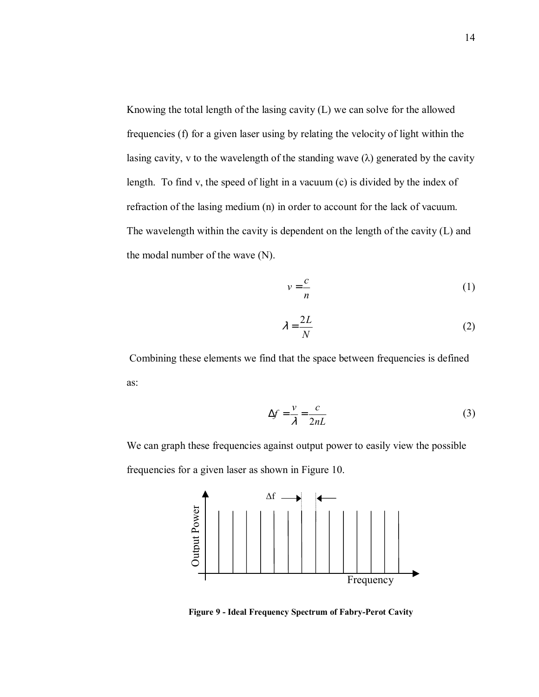Knowing the total length of the lasing cavity (L) we can solve for the allowed frequencies (f) for a given laser using by relating the velocity of light within the lasing cavity, v to the wavelength of the standing wave  $(\lambda)$  generated by the cavity length. To find v, the speed of light in a vacuum (c) is divided by the index of refraction of the lasing medium (n) in order to account for the lack of vacuum. The wavelength within the cavity is dependent on the length of the cavity (L) and the modal number of the wave (N).

$$
v = \frac{c}{n} \tag{1}
$$

$$
\lambda = \frac{2L}{N} \tag{2}
$$

 Combining these elements we find that the space between frequencies is defined as:

$$
\Delta f = \frac{v}{\lambda} = \frac{c}{2nL} \tag{3}
$$

We can graph these frequencies against output power to easily view the possible frequencies for a given laser as shown in Figure 10.



**Figure 9 - Ideal Frequency Spectrum of Fabry-Perot Cavity**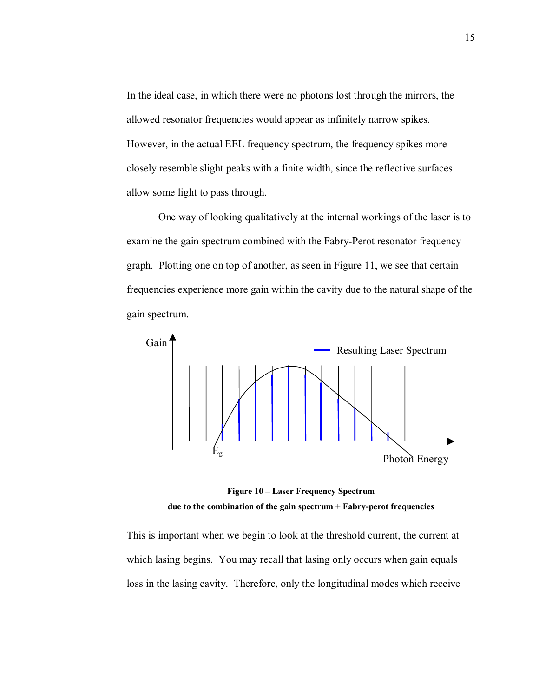In the ideal case, in which there were no photons lost through the mirrors, the allowed resonator frequencies would appear as infinitely narrow spikes. However, in the actual EEL frequency spectrum, the frequency spikes more closely resemble slight peaks with a finite width, since the reflective surfaces allow some light to pass through.

One way of looking qualitatively at the internal workings of the laser is to examine the gain spectrum combined with the Fabry-Perot resonator frequency graph. Plotting one on top of another, as seen in Figure 11, we see that certain frequencies experience more gain within the cavity due to the natural shape of the gain spectrum.



**Figure 10 – Laser Frequency Spectrum due to the combination of the gain spectrum + Fabry-perot frequencies** 

This is important when we begin to look at the threshold current, the current at which lasing begins. You may recall that lasing only occurs when gain equals loss in the lasing cavity. Therefore, only the longitudinal modes which receive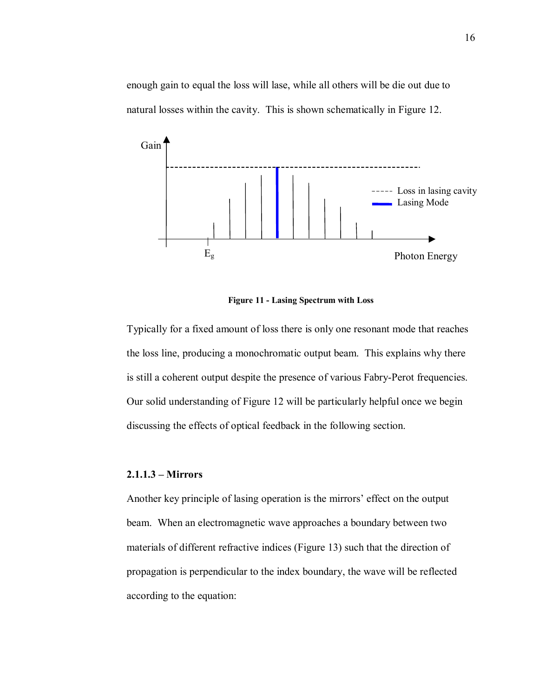enough gain to equal the loss will lase, while all others will be die out due to natural losses within the cavity. This is shown schematically in Figure 12.



**Figure 11 - Lasing Spectrum with Loss** 

Typically for a fixed amount of loss there is only one resonant mode that reaches the loss line, producing a monochromatic output beam. This explains why there is still a coherent output despite the presence of various Fabry-Perot frequencies. Our solid understanding of Figure 12 will be particularly helpful once we begin discussing the effects of optical feedback in the following section.

## **2.1.1.3 – Mirrors**

Another key principle of lasing operation is the mirrors' effect on the output beam. When an electromagnetic wave approaches a boundary between two materials of different refractive indices (Figure 13) such that the direction of propagation is perpendicular to the index boundary, the wave will be reflected according to the equation: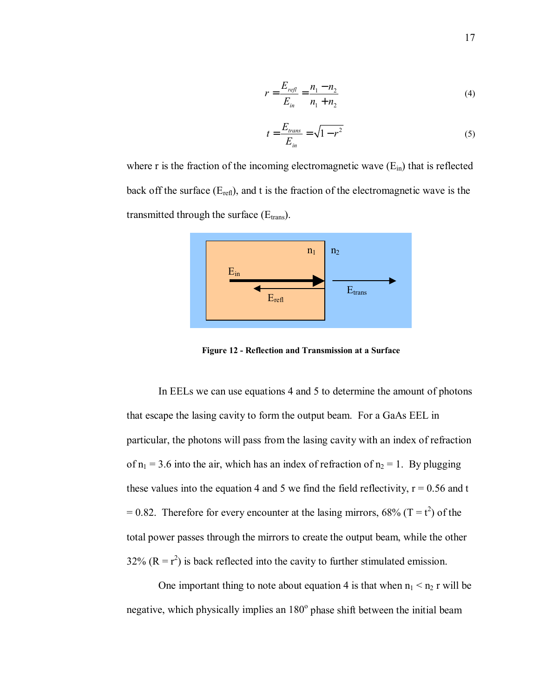$$
r = \frac{E_{\text{refl}}}{E_{\text{in}}} = \frac{n_1 - n_2}{n_1 + n_2} \tag{4}
$$

$$
t = \frac{E_{trans}}{E_{in}} = \sqrt{1 - r^2} \tag{5}
$$

where r is the fraction of the incoming electromagnetic wave  $(E_{in})$  that is reflected back off the surface  $(E_{refl})$ , and t is the fraction of the electromagnetic wave is the transmitted through the surface  $(E<sub>trans</sub>)$ .



**Figure 12 - Reflection and Transmission at a Surface** 

In EELs we can use equations 4 and 5 to determine the amount of photons that escape the lasing cavity to form the output beam. For a GaAs EEL in particular, the photons will pass from the lasing cavity with an index of refraction of  $n_1$  = 3.6 into the air, which has an index of refraction of  $n_2$  = 1. By plugging these values into the equation 4 and 5 we find the field reflectivity,  $r = 0.56$  and t  $= 0.82$ . Therefore for every encounter at the lasing mirrors, 68% (T = t<sup>2</sup>) of the total power passes through the mirrors to create the output beam, while the other 32%  $(R = r^2)$  is back reflected into the cavity to further stimulated emission.

One important thing to note about equation 4 is that when  $n_1 < n_2$  r will be negative, which physically implies an  $180^\circ$  phase shift between the initial beam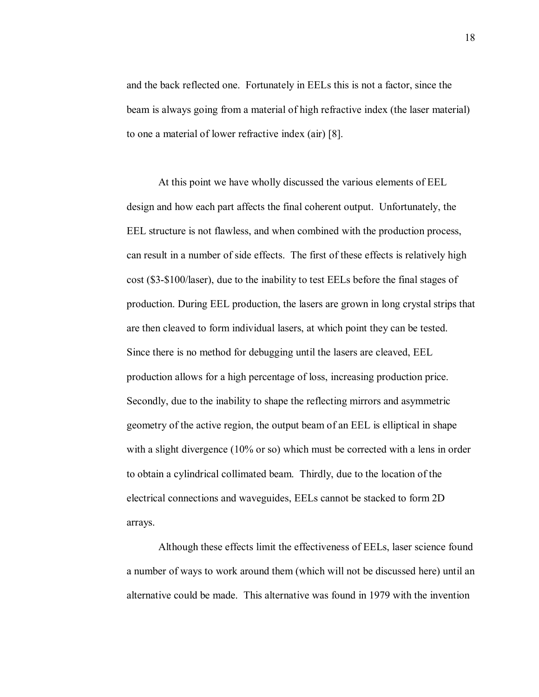and the back reflected one. Fortunately in EELs this is not a factor, since the beam is always going from a material of high refractive index (the laser material) to one a material of lower refractive index (air) [8].

At this point we have wholly discussed the various elements of EEL design and how each part affects the final coherent output. Unfortunately, the EEL structure is not flawless, and when combined with the production process, can result in a number of side effects. The first of these effects is relatively high cost (\$3-\$100/laser), due to the inability to test EELs before the final stages of production. During EEL production, the lasers are grown in long crystal strips that are then cleaved to form individual lasers, at which point they can be tested. Since there is no method for debugging until the lasers are cleaved, EEL production allows for a high percentage of loss, increasing production price. Secondly, due to the inability to shape the reflecting mirrors and asymmetric geometry of the active region, the output beam of an EEL is elliptical in shape with a slight divergence (10% or so) which must be corrected with a lens in order to obtain a cylindrical collimated beam. Thirdly, due to the location of the electrical connections and waveguides, EELs cannot be stacked to form 2D arrays.

Although these effects limit the effectiveness of EELs, laser science found a number of ways to work around them (which will not be discussed here) until an alternative could be made. This alternative was found in 1979 with the invention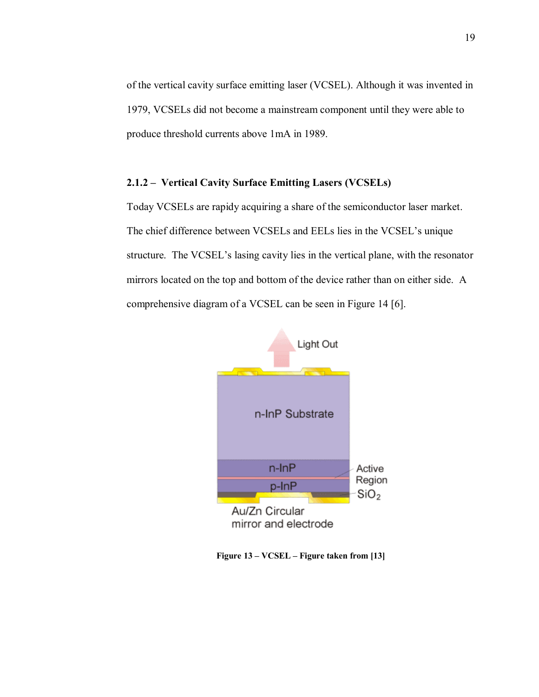of the vertical cavity surface emitting laser (VCSEL). Although it was invented in 1979, VCSELs did not become a mainstream component until they were able to produce threshold currents above 1mA in 1989.

## **2.1.2 – Vertical Cavity Surface Emitting Lasers (VCSELs)**

Today VCSELs are rapidy acquiring a share of the semiconductor laser market. The chief difference between VCSELs and EELs lies in the VCSEL's unique structure. The VCSEL's lasing cavity lies in the vertical plane, with the resonator mirrors located on the top and bottom of the device rather than on either side. A comprehensive diagram of a VCSEL can be seen in Figure 14 [6].



**Figure 13 – VCSEL – Figure taken from [13]**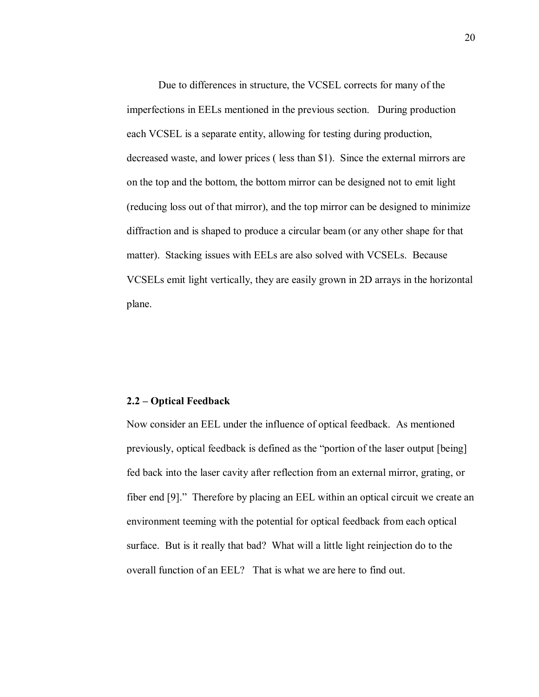Due to differences in structure, the VCSEL corrects for many of the imperfections in EELs mentioned in the previous section. During production each VCSEL is a separate entity, allowing for testing during production, decreased waste, and lower prices ( less than \$1). Since the external mirrors are on the top and the bottom, the bottom mirror can be designed not to emit light (reducing loss out of that mirror), and the top mirror can be designed to minimize diffraction and is shaped to produce a circular beam (or any other shape for that matter). Stacking issues with EELs are also solved with VCSELs. Because VCSELs emit light vertically, they are easily grown in 2D arrays in the horizontal plane.

#### **2.2 – Optical Feedback**

Now consider an EEL under the influence of optical feedback. As mentioned previously, optical feedback is defined as the "portion of the laser output [being] fed back into the laser cavity after reflection from an external mirror, grating, or fiber end [9]." Therefore by placing an EEL within an optical circuit we create an environment teeming with the potential for optical feedback from each optical surface. But is it really that bad? What will a little light reinjection do to the overall function of an EEL? That is what we are here to find out.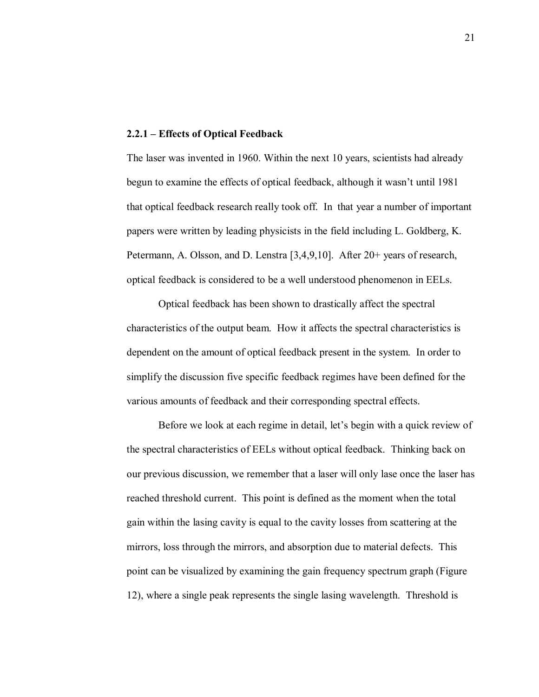#### **2.2.1 – Effects of Optical Feedback**

The laser was invented in 1960. Within the next 10 years, scientists had already begun to examine the effects of optical feedback, although it wasn't until 1981 that optical feedback research really took off. In that year a number of important papers were written by leading physicists in the field including L. Goldberg, K. Petermann, A. Olsson, and D. Lenstra [3,4,9,10]. After 20+ years of research, optical feedback is considered to be a well understood phenomenon in EELs.

Optical feedback has been shown to drastically affect the spectral characteristics of the output beam. How it affects the spectral characteristics is dependent on the amount of optical feedback present in the system. In order to simplify the discussion five specific feedback regimes have been defined for the various amounts of feedback and their corresponding spectral effects.

Before we look at each regime in detail, let's begin with a quick review of the spectral characteristics of EELs without optical feedback. Thinking back on our previous discussion, we remember that a laser will only lase once the laser has reached threshold current. This point is defined as the moment when the total gain within the lasing cavity is equal to the cavity losses from scattering at the mirrors, loss through the mirrors, and absorption due to material defects. This point can be visualized by examining the gain frequency spectrum graph (Figure 12), where a single peak represents the single lasing wavelength. Threshold is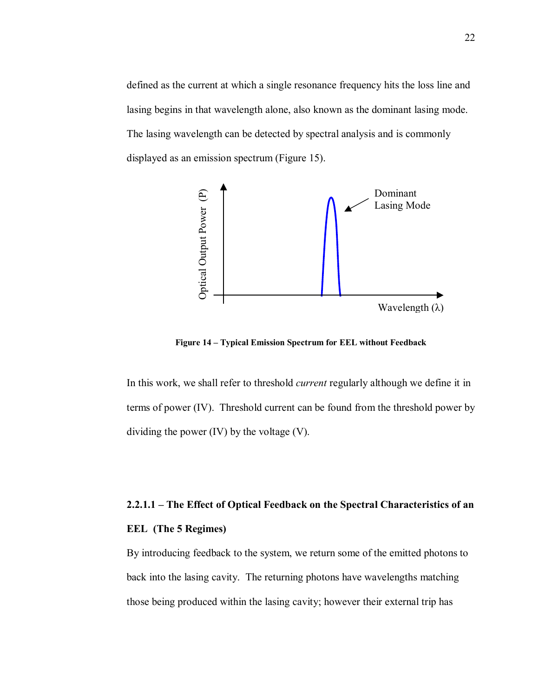defined as the current at which a single resonance frequency hits the loss line and lasing begins in that wavelength alone, also known as the dominant lasing mode. The lasing wavelength can be detected by spectral analysis and is commonly displayed as an emission spectrum (Figure 15).



Figure 14 – Typical Emission Spectrum for EEL without Feedback

In this work, we shall refer to threshold *current* regularly although we define it in terms of power (IV). Threshold current can be found from the threshold power by dividing the power (IV) by the voltage (V).

# **2.2.1.1 – The Effect of Optical Feedback on the Spectral Characteristics of an**

## **EEL (The 5 Regimes)**

By introducing feedback to the system, we return some of the emitted photons to back into the lasing cavity. The returning photons have wavelengths matching those being produced within the lasing cavity; however their external trip has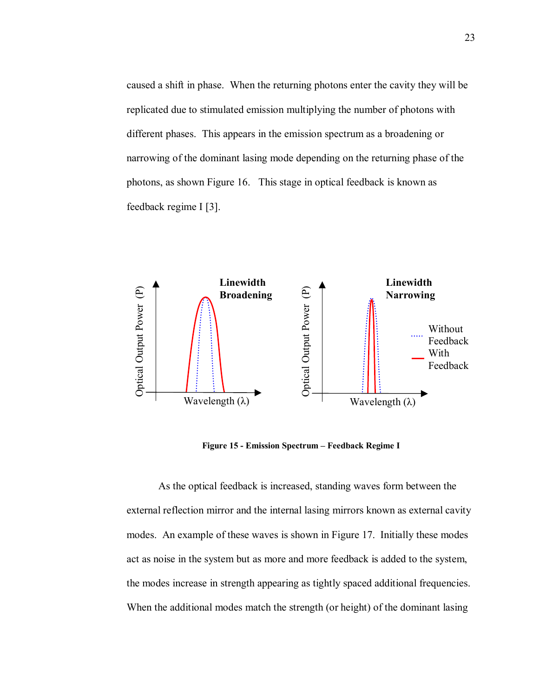caused a shift in phase. When the returning photons enter the cavity they will be replicated due to stimulated emission multiplying the number of photons with different phases. This appears in the emission spectrum as a broadening or narrowing of the dominant lasing mode depending on the returning phase of the photons, as shown Figure 16. This stage in optical feedback is known as feedback regime I [3].



Figure 15 - Emission Spectrum – Feedback Regime I

As the optical feedback is increased, standing waves form between the external reflection mirror and the internal lasing mirrors known as external cavity modes. An example of these waves is shown in Figure 17. Initially these modes act as noise in the system but as more and more feedback is added to the system, the modes increase in strength appearing as tightly spaced additional frequencies. When the additional modes match the strength (or height) of the dominant lasing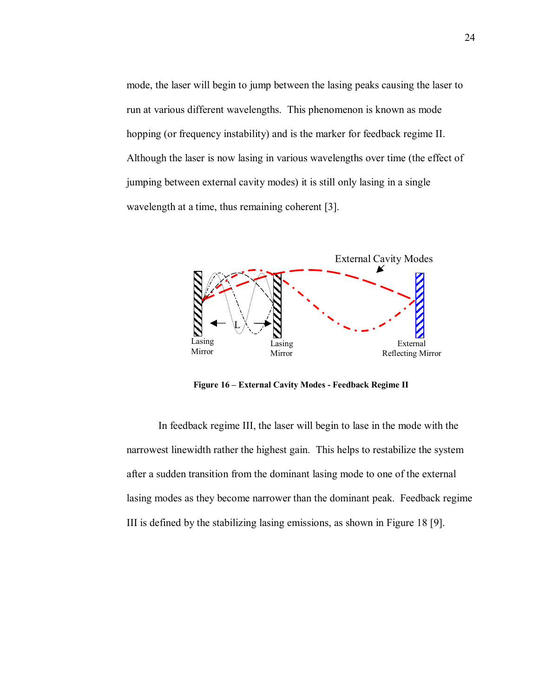mode, the laser will begin to jump between the lasing peaks causing the laser to run at various different wavelengths. This phenomenon is known as mode hopping (or frequency instability) and is the marker for feedback regime II. Although the laser is now lasing in various wavelengths over time (the effect of jumping between external cavity modes) it is still only lasing in a single wavelength at a time, thus remaining coherent [3].



Figure 16 - External Cavity Modes - Feedback Regime II

In feedback regime III, the laser will begin to lase in the mode with the narrowest linewidth rather the highest gain. This helps to restabilize the system after a sudden transition from the dominant lasing mode to one of the external lasing modes as they become narrower than the dominant peak. Feedback regime III is defined by the stabilizing lasing emissions, as shown in Figure 18 [9].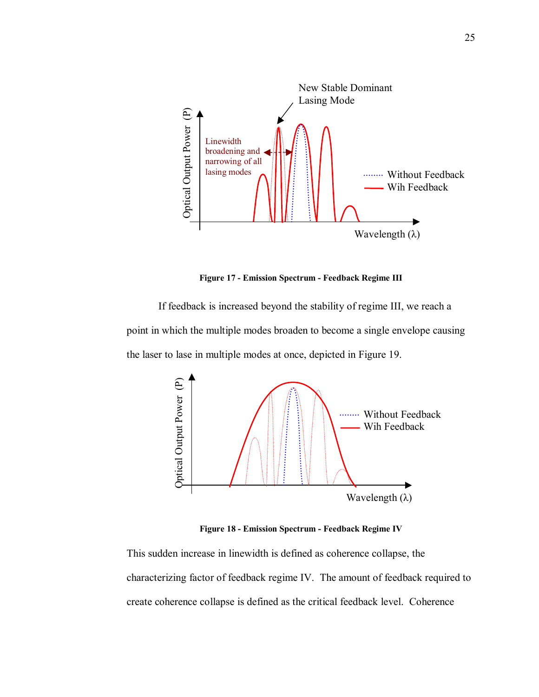

**Figure 17 - Emission Spectrum - Feedback Regime III** 

If feedback is increased beyond the stability of regime III, we reach a point in which the multiple modes broaden to become a single envelope causing the laser to lase in multiple modes at once, depicted in Figure 19.



**Figure 18 - Emission Spectrum - Feedback Regime IV** 

This sudden increase in linewidth is defined as coherence collapse, the characterizing factor of feedback regime IV. The amount of feedback required to create coherence collapse is defined as the critical feedback level. Coherence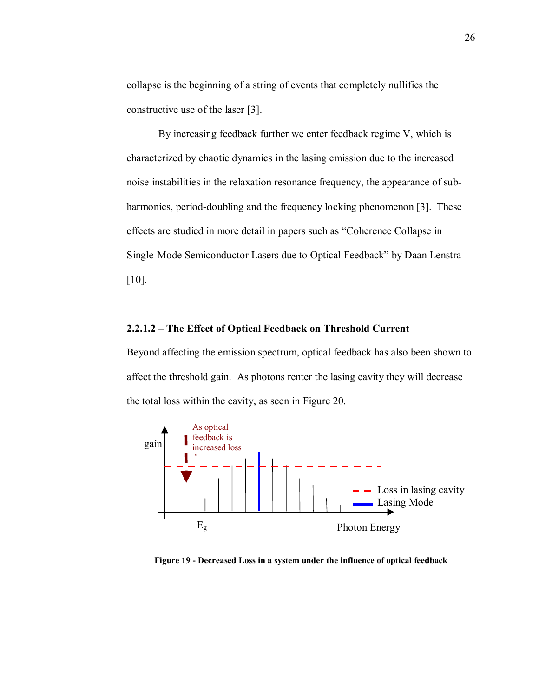collapse is the beginning of a string of events that completely nullifies the constructive use of the laser [3].

 By increasing feedback further we enter feedback regime V, which is characterized by chaotic dynamics in the lasing emission due to the increased noise instabilities in the relaxation resonance frequency, the appearance of subharmonics, period-doubling and the frequency locking phenomenon [3]. These effects are studied in more detail in papers such as "Coherence Collapse in Single-Mode Semiconductor Lasers due to Optical Feedback" by Daan Lenstra [10].

### **2.2.1.2** – The Effect of Optical Feedback on Threshold Current

Beyond affecting the emission spectrum, optical feedback has also been shown to affect the threshold gain. As photons renter the lasing cavity they will decrease the total loss within the cavity, as seen in Figure 20.



**Figure 19 - Decreased Loss in a system under the influence of optical feedback**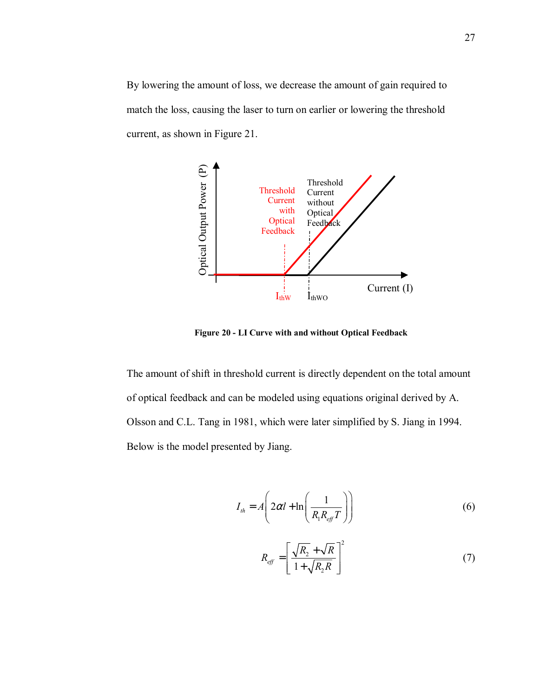By lowering the amount of loss, we decrease the amount of gain required to match the loss, causing the laser to turn on earlier or lowering the threshold current, as shown in Figure 21.



**Figure 20 - LI Curve with and without Optical Feedback** 

The amount of shift in threshold current is directly dependent on the total amount of optical feedback and can be modeled using equations original derived by A. Olsson and C.L. Tang in 1981, which were later simplified by S. Jiang in 1994. Below is the model presented by Jiang.

$$
I_{th} = A \left( 2\alpha l + \ln \left( \frac{1}{R_{\text{t}} R_{\text{eff}} T} \right) \right) \tag{6}
$$

$$
R_{\text{eff}} = \left[ \frac{\sqrt{R_2} + \sqrt{R}}{1 + \sqrt{R_2 R}} \right]^2 \tag{7}
$$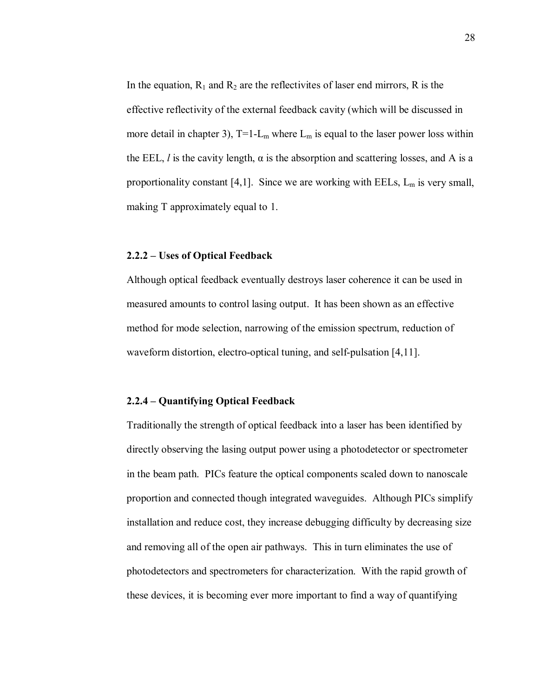In the equation,  $R_1$  and  $R_2$  are the reflectivites of laser end mirrors, R is the effective reflectivity of the external feedback cavity (which will be discussed in more detail in chapter 3),  $T=1-L_m$  where  $L_m$  is equal to the laser power loss within the EEL, *l* is the cavity length,  $\alpha$  is the absorption and scattering losses, and A is a proportionality constant [4,1]. Since we are working with EELs,  $L_m$  is very small, making T approximately equal to 1.

#### **2.2.2 – Uses of Optical Feedback**

Although optical feedback eventually destroys laser coherence it can be used in measured amounts to control lasing output. It has been shown as an effective method for mode selection, narrowing of the emission spectrum, reduction of waveform distortion, electro-optical tuning, and self-pulsation [4,11].

# **2.2.4 – Quantifying Optical Feedback**

Traditionally the strength of optical feedback into a laser has been identified by directly observing the lasing output power using a photodetector or spectrometer in the beam path. PICs feature the optical components scaled down to nanoscale proportion and connected though integrated waveguides. Although PICs simplify installation and reduce cost, they increase debugging difficulty by decreasing size and removing all of the open air pathways. This in turn eliminates the use of photodetectors and spectrometers for characterization. With the rapid growth of these devices, it is becoming ever more important to find a way of quantifying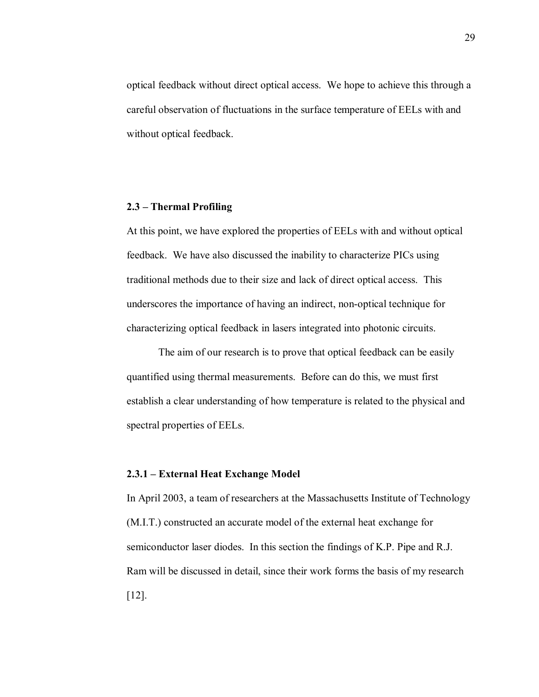optical feedback without direct optical access. We hope to achieve this through a careful observation of fluctuations in the surface temperature of EELs with and without optical feedback.

#### **2.3 – Thermal Profiling**

At this point, we have explored the properties of EELs with and without optical feedback. We have also discussed the inability to characterize PICs using traditional methods due to their size and lack of direct optical access. This underscores the importance of having an indirect, non-optical technique for characterizing optical feedback in lasers integrated into photonic circuits.

The aim of our research is to prove that optical feedback can be easily quantified using thermal measurements. Before can do this, we must first establish a clear understanding of how temperature is related to the physical and spectral properties of EELs.

# **2.3.1 – External Heat Exchange Model**

In April 2003, a team of researchers at the Massachusetts Institute of Technology (M.I.T.) constructed an accurate model of the external heat exchange for semiconductor laser diodes. In this section the findings of K.P. Pipe and R.J. Ram will be discussed in detail, since their work forms the basis of my research [12].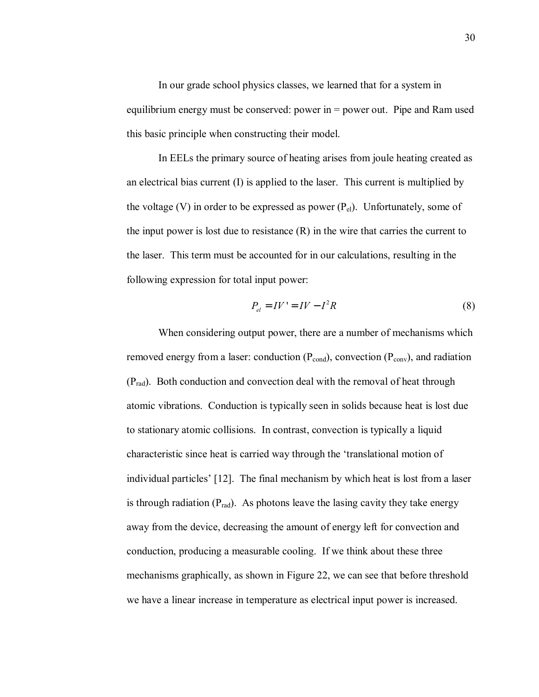In our grade school physics classes, we learned that for a system in equilibrium energy must be conserved: power in = power out. Pipe and Ram used this basic principle when constructing their model.

In EELs the primary source of heating arises from joule heating created as an electrical bias current (I) is applied to the laser. This current is multiplied by the voltage (V) in order to be expressed as power  $(P_{el})$ . Unfortunately, some of the input power is lost due to resistance (R) in the wire that carries the current to the laser. This term must be accounted for in our calculations, resulting in the following expression for total input power:

$$
P_{el} = IV' = IV - I^2 R \tag{8}
$$

When considering output power, there are a number of mechanisms which removed energy from a laser: conduction  $(P_{cond})$ , convection  $(P_{conv})$ , and radiation  $(P_{rad})$ . Both conduction and convection deal with the removal of heat through atomic vibrations. Conduction is typically seen in solids because heat is lost due to stationary atomic collisions. In contrast, convection is typically a liquid characteristic since heat is carried way through the 'translational motion of individual particles' [12]. The final mechanism by which heat is lost from a laser is through radiation  $(P_{rad})$ . As photons leave the lasing cavity they take energy away from the device, decreasing the amount of energy left for convection and conduction, producing a measurable cooling. If we think about these three mechanisms graphically, as shown in Figure 22, we can see that before threshold we have a linear increase in temperature as electrical input power is increased.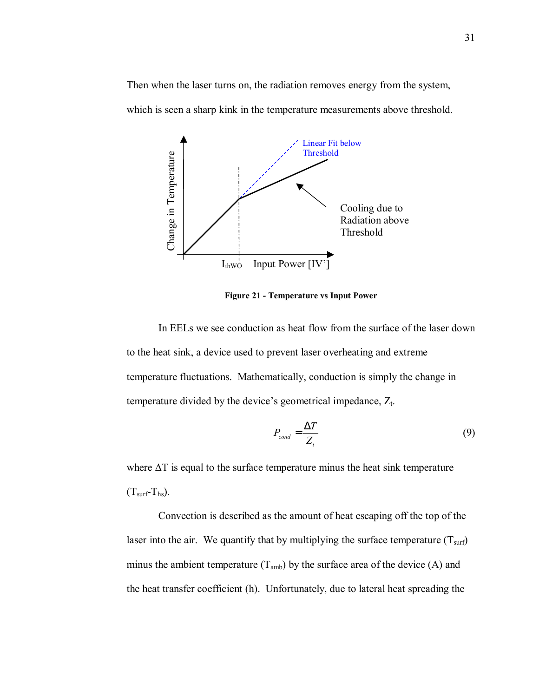Then when the laser turns on, the radiation removes energy from the system, which is seen a sharp kink in the temperature measurements above threshold.



**Figure 21 - Temperature vs Input Power** 

In EELs we see conduction as heat flow from the surface of the laser down to the heat sink, a device used to prevent laser overheating and extreme temperature fluctuations. Mathematically, conduction is simply the change in temperature divided by the device's geometrical impedance,  $Z_t$ .

$$
P_{cond} = \frac{\Delta T}{Z_t} \tag{9}
$$

where ∆T is equal to the surface temperature minus the heat sink temperature  $(T<sub>surf</sub>-T<sub>hs</sub>)$ .

Convection is described as the amount of heat escaping off the top of the laser into the air. We quantify that by multiplying the surface temperature  $(T<sub>surf</sub>)$ minus the ambient temperature  $(T_{amb})$  by the surface area of the device (A) and the heat transfer coefficient (h). Unfortunately, due to lateral heat spreading the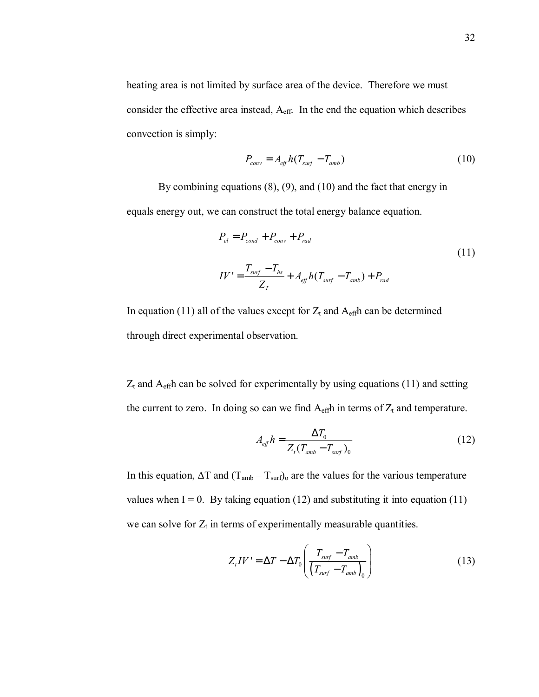heating area is not limited by surface area of the device. Therefore we must consider the effective area instead,  $A_{\text{eff}}$ . In the end the equation which describes convection is simply:

$$
P_{conv} = A_{eff} h (T_{surf} - T_{amb})
$$
\n(10)

By combining equations (8), (9), and (10) and the fact that energy in equals energy out, we can construct the total energy balance equation.

$$
P_{el} = P_{cond} + P_{conv} + P_{rad}
$$
  
\n
$$
IV' = \frac{T_{surf} - T_{hs}}{Z_T} + A_{eff}h(T_{surf} - T_{amb}) + P_{rad}
$$
\n(11)

In equation (11) all of the values except for  $Z_t$  and  $A_{\text{eff}}$ h can be determined through direct experimental observation.

 $Z_t$  and  $A_{\text{eff}}$ h can be solved for experimentally by using equations (11) and setting the current to zero. In doing so can we find  $A_{\text{eff}}$ h in terms of  $Z_t$  and temperature.

$$
A_{\text{eff}}h = \frac{\Delta T_0}{Z_t(T_{\text{amb}} - T_{\text{surf}})_0} \tag{12}
$$

In this equation,  $\Delta T$  and  $(T_{amb} - T_{surf})$  are the values for the various temperature values when  $I = 0$ . By taking equation (12) and substituting it into equation (11) we can solve for  $Z_t$  in terms of experimentally measurable quantities.

$$
Z_{t}IV' = \Delta T - \Delta T_{0} \left( \frac{T_{surf} - T_{amb}}{\left( T_{surf} - T_{amb} \right)_{0}} \right)
$$
 (13)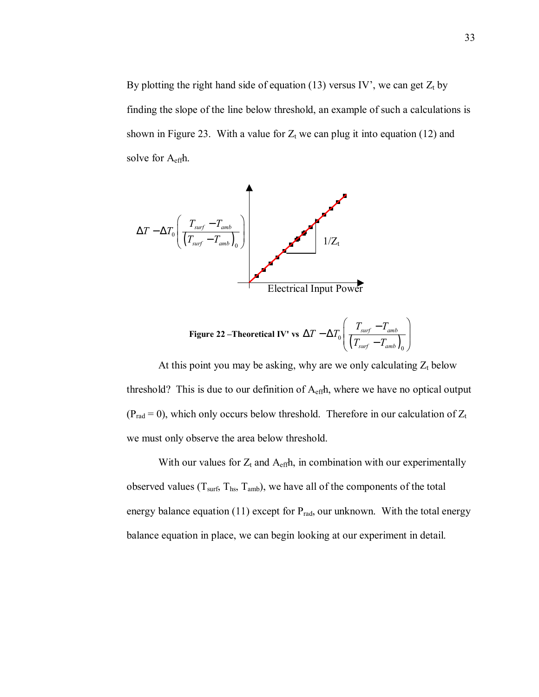By plotting the right hand side of equation (13) versus IV', we can get  $Z_t$  by finding the slope of the line below threshold, an example of such a calculations is shown in Figure 23. With a value for  $Z_t$  we can plug it into equation (12) and solve for Aeffh.



Figure 22 – Theoretical IV' vs 
$$
\Delta T - \Delta T_0 \left( \frac{T_{surf} - T_{amb}}{(T_{surf} - T_{amb})_0} \right)
$$

At this point you may be asking, why are we only calculating  $Z_t$  below threshold? This is due to our definition of  $A<sub>eff</sub>$ , where we have no optical output ( $P_{rad} = 0$ ), which only occurs below threshold. Therefore in our calculation of  $Z_t$ we must only observe the area below threshold.

With our values for  $Z_t$  and  $A_{\text{eff}}$ h, in combination with our experimentally observed values ( $T<sub>surf</sub>, T<sub>hs</sub>, T<sub>amb</sub>$ ), we have all of the components of the total energy balance equation (11) except for  $P_{rad}$ , our unknown. With the total energy balance equation in place, we can begin looking at our experiment in detail.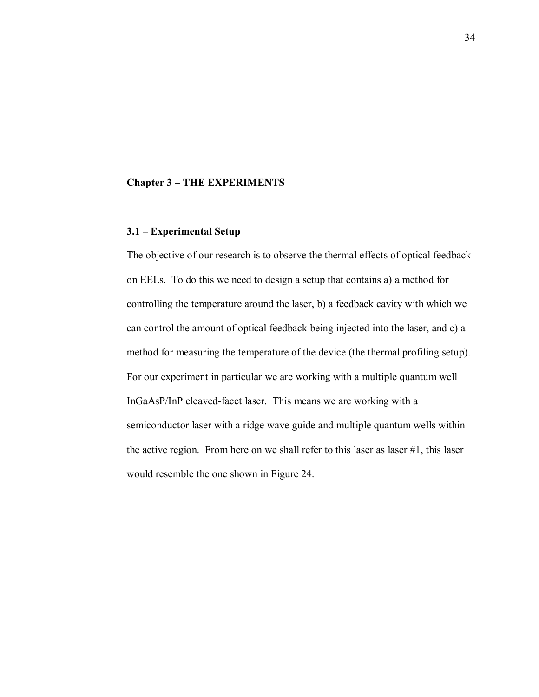# **Chapter 3 – THE EXPERIMENTS**

# **3.1 – Experimental Setup**

The objective of our research is to observe the thermal effects of optical feedback on EELs. To do this we need to design a setup that contains a) a method for controlling the temperature around the laser, b) a feedback cavity with which we can control the amount of optical feedback being injected into the laser, and c) a method for measuring the temperature of the device (the thermal profiling setup). For our experiment in particular we are working with a multiple quantum well InGaAsP/InP cleaved-facet laser. This means we are working with a semiconductor laser with a ridge wave guide and multiple quantum wells within the active region. From here on we shall refer to this laser as laser #1, this laser would resemble the one shown in Figure 24.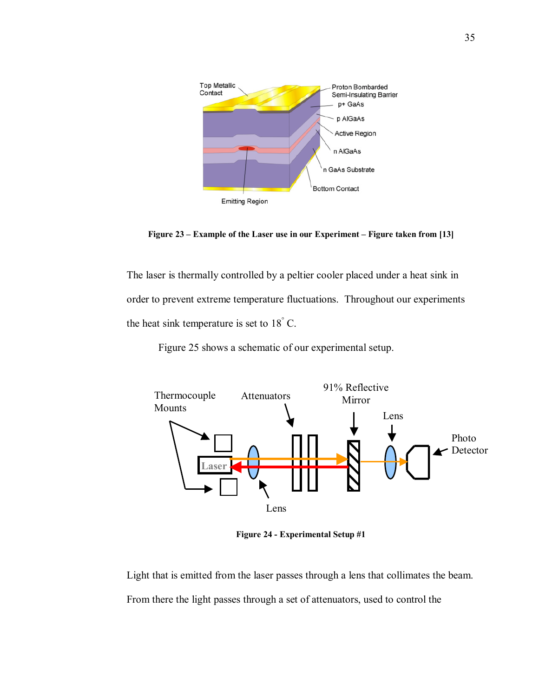

**Figure 23 – Example of the Laser use in our Experiment – Figure taken from [13]** 

The laser is thermally controlled by a peltier cooler placed under a heat sink in order to prevent extreme temperature fluctuations. Throughout our experiments the heat sink temperature is set to  $18^{\degree}$  C.

Figure 25 shows a schematic of our experimental setup.



**Figure 24 - Experimental Setup #1** 

Light that is emitted from the laser passes through a lens that collimates the beam. From there the light passes through a set of attenuators, used to control the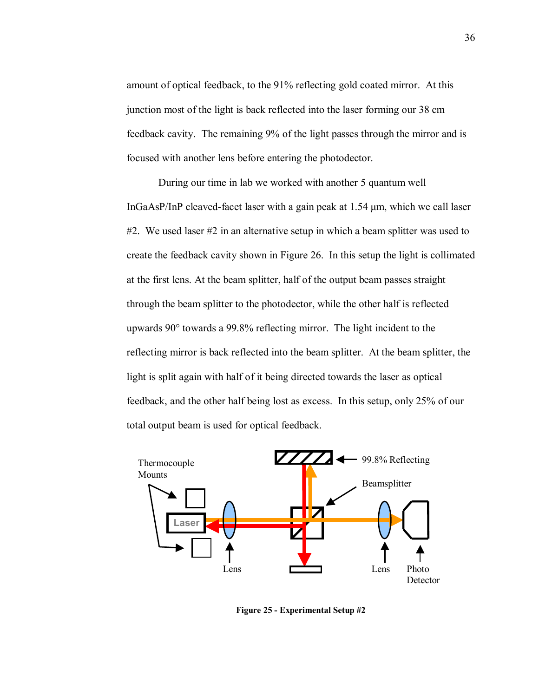amount of optical feedback, to the 91% reflecting gold coated mirror. At this junction most of the light is back reflected into the laser forming our 38 cm feedback cavity. The remaining 9% of the light passes through the mirror and is focused with another lens before entering the photodector.

During our time in lab we worked with another 5 quantum well InGaAsP/InP cleaved-facet laser with a gain peak at 1.54 µm, which we call laser #2. We used laser #2 in an alternative setup in which a beam splitter was used to create the feedback cavity shown in Figure 26. In this setup the light is collimated at the first lens. At the beam splitter, half of the output beam passes straight through the beam splitter to the photodector, while the other half is reflected upwards 90° towards a 99.8% reflecting mirror. The light incident to the reflecting mirror is back reflected into the beam splitter. At the beam splitter, the light is split again with half of it being directed towards the laser as optical feedback, and the other half being lost as excess. In this setup, only 25% of our total output beam is used for optical feedback.



**Figure 25 - Experimental Setup #2**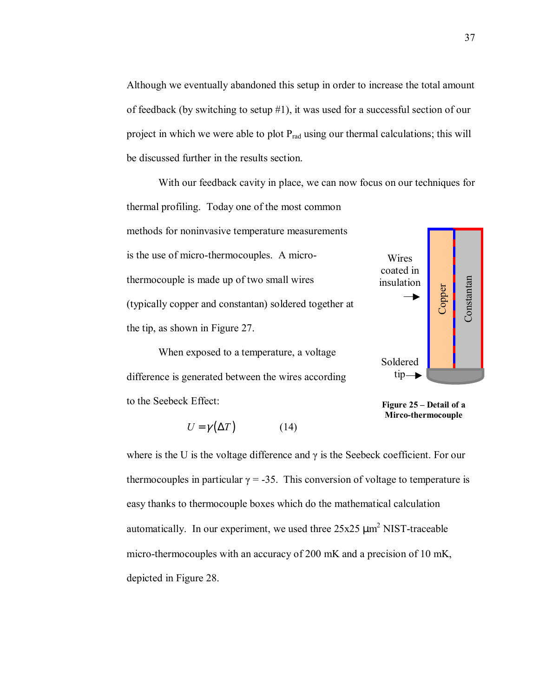Although we eventually abandoned this setup in order to increase the total amount of feedback (by switching to setup #1), it was used for a successful section of our project in which we were able to plot  $P_{rad}$  using our thermal calculations; this will be discussed further in the results section.

 With our feedback cavity in place, we can now focus on our techniques for thermal profiling. Today one of the most common methods for noninvasive temperature measurements is the use of micro-thermocouples. A microthermocouple is made up of two small wires (typically copper and constantan) soldered together at the tip, as shown in Figure 27. **Copper** Wires coated in insulation

When exposed to a temperature, a voltage difference is generated between the wires according to the Seebeck Effect:

$$
U = \gamma(\Delta T) \tag{14}
$$



**Figure 25 – Detail of a Mirco-thermocouple** 

where is the U is the voltage difference and  $\gamma$  is the Seebeck coefficient. For our thermocouples in particular  $\gamma = -35$ . This conversion of voltage to temperature is easy thanks to thermocouple boxes which do the mathematical calculation automatically. In our experiment, we used three  $25x25 \mu m^2$  NIST-traceable micro-thermocouples with an accuracy of 200 mK and a precision of 10 mK, depicted in Figure 28.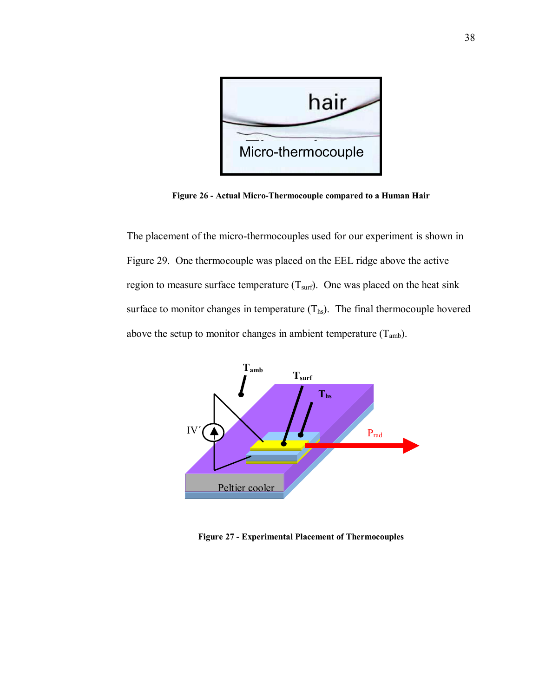

**Figure 26 - Actual Micro-Thermocouple compared to a Human Hair** 

The placement of the micro-thermocouples used for our experiment is shown in Figure 29. One thermocouple was placed on the EEL ridge above the active region to measure surface temperature  $(T<sub>surf</sub>)$ . One was placed on the heat sink surface to monitor changes in temperature  $(T_{hs})$ . The final thermocouple hovered above the setup to monitor changes in ambient temperature  $(T_{amb})$ .



**Figure 27 - Experimental Placement of Thermocouples**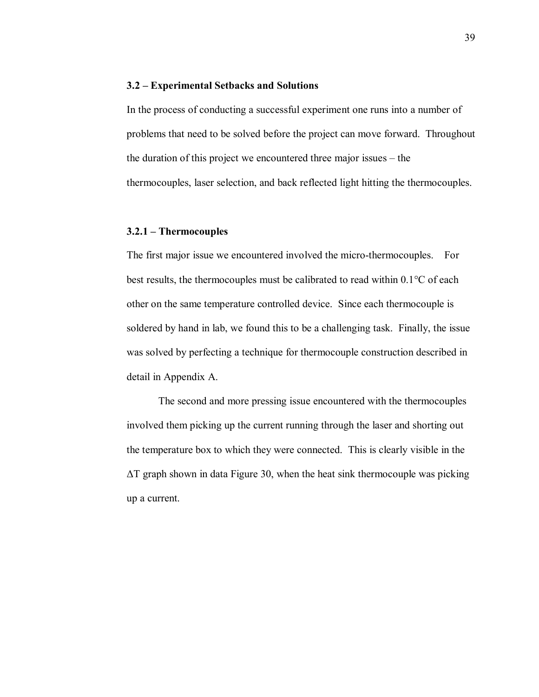#### **3.2 – Experimental Setbacks and Solutions**

In the process of conducting a successful experiment one runs into a number of problems that need to be solved before the project can move forward. Throughout the duration of this project we encountered three major issues  $-$  the thermocouples, laser selection, and back reflected light hitting the thermocouples.

# **3.2.1 – Thermocouples**

The first major issue we encountered involved the micro-thermocouples. For best results, the thermocouples must be calibrated to read within 0.1°C of each other on the same temperature controlled device. Since each thermocouple is soldered by hand in lab, we found this to be a challenging task. Finally, the issue was solved by perfecting a technique for thermocouple construction described in detail in Appendix A.

The second and more pressing issue encountered with the thermocouples involved them picking up the current running through the laser and shorting out the temperature box to which they were connected. This is clearly visible in the ∆T graph shown in data Figure 30, when the heat sink thermocouple was picking up a current.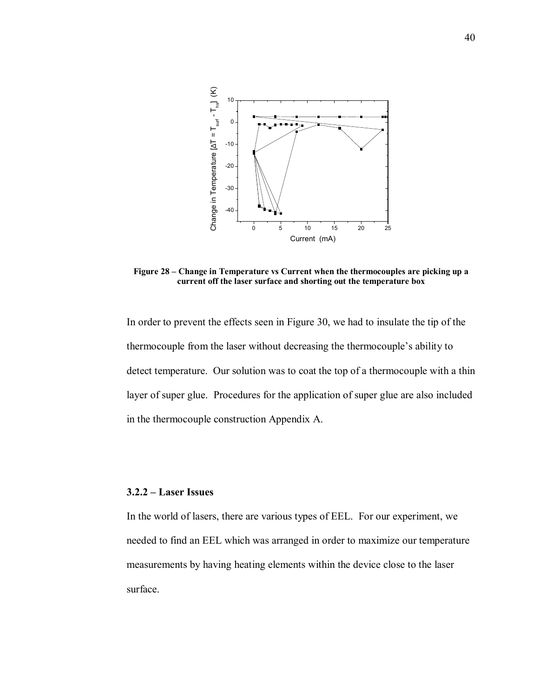

Figure 28 – Change in Temperature vs Current when the thermocouples are picking up a **current off the laser surface and shorting out the temperature box** 

In order to prevent the effects seen in Figure 30, we had to insulate the tip of the thermocouple from the laser without decreasing the thermocouple's ability to detect temperature. Our solution was to coat the top of a thermocouple with a thin layer of super glue. Procedures for the application of super glue are also included in the thermocouple construction Appendix A.

#### **3.2.2 – Laser Issues**

In the world of lasers, there are various types of EEL. For our experiment, we needed to find an EEL which was arranged in order to maximize our temperature measurements by having heating elements within the device close to the laser surface.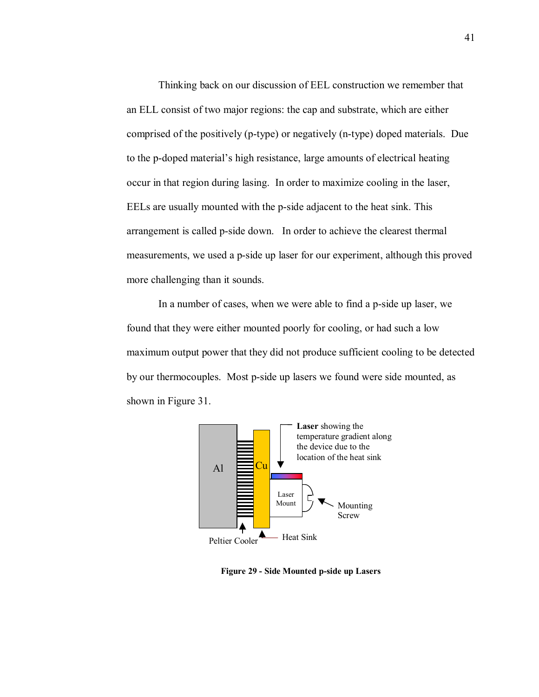Thinking back on our discussion of EEL construction we remember that an ELL consist of two major regions: the cap and substrate, which are either comprised of the positively (p-type) or negatively (n-type) doped materials. Due to the p-doped material's high resistance, large amounts of electrical heating occur in that region during lasing. In order to maximize cooling in the laser, EELs are usually mounted with the p-side adjacent to the heat sink. This arrangement is called p-side down. In order to achieve the clearest thermal measurements, we used a p-side up laser for our experiment, although this proved more challenging than it sounds.

In a number of cases, when we were able to find a p-side up laser, we found that they were either mounted poorly for cooling, or had such a low maximum output power that they did not produce sufficient cooling to be detected by our thermocouples. Most p-side up lasers we found were side mounted, as shown in Figure 31.



**Figure 29 - Side Mounted p-side up Lasers**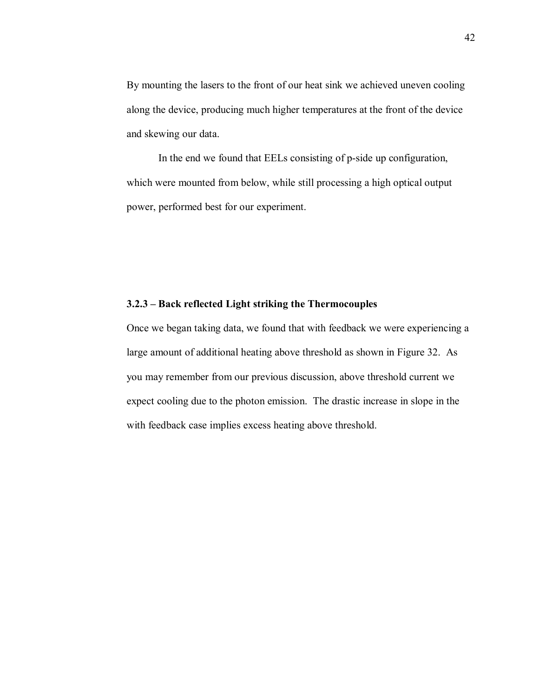By mounting the lasers to the front of our heat sink we achieved uneven cooling along the device, producing much higher temperatures at the front of the device and skewing our data.

 In the end we found that EELs consisting of p-side up configuration, which were mounted from below, while still processing a high optical output power, performed best for our experiment.

### **3.2.3** – Back reflected Light striking the Thermocouples

Once we began taking data, we found that with feedback we were experiencing a large amount of additional heating above threshold as shown in Figure 32. As you may remember from our previous discussion, above threshold current we expect cooling due to the photon emission. The drastic increase in slope in the with feedback case implies excess heating above threshold.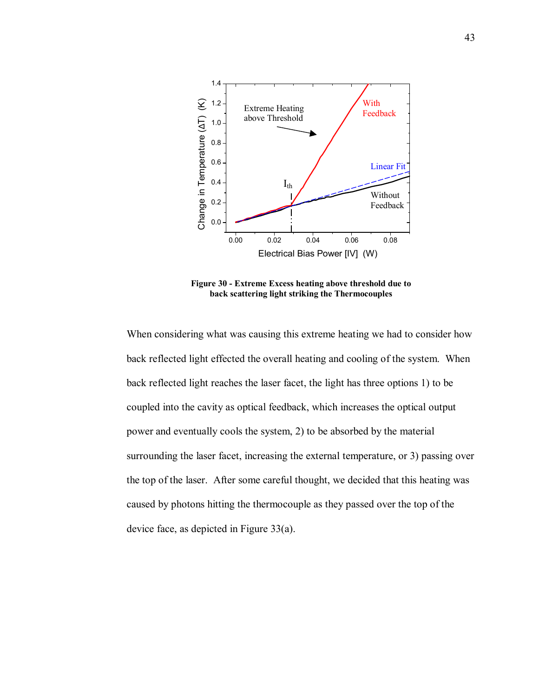

**Figure 30 - Extreme Excess heating above threshold due to back scattering light striking the Thermocouples** 

When considering what was causing this extreme heating we had to consider how back reflected light effected the overall heating and cooling of the system. When back reflected light reaches the laser facet, the light has three options 1) to be coupled into the cavity as optical feedback, which increases the optical output power and eventually cools the system, 2) to be absorbed by the material surrounding the laser facet, increasing the external temperature, or 3) passing over the top of the laser. After some careful thought, we decided that this heating was caused by photons hitting the thermocouple as they passed over the top of the device face, as depicted in Figure 33(a).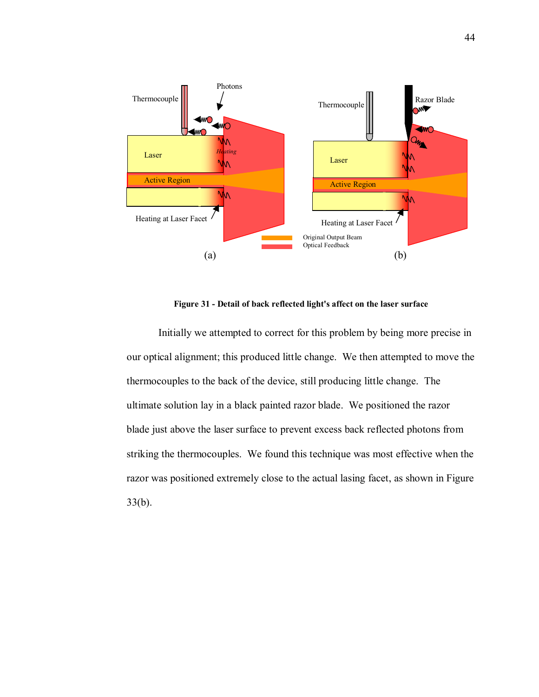

**Figure 31 - Detail of back reflected light's affect on the laser surface** 

Initially we attempted to correct for this problem by being more precise in our optical alignment; this produced little change. We then attempted to move the thermocouples to the back of the device, still producing little change. The ultimate solution lay in a black painted razor blade. We positioned the razor blade just above the laser surface to prevent excess back reflected photons from striking the thermocouples. We found this technique was most effective when the razor was positioned extremely close to the actual lasing facet, as shown in Figure 33(b).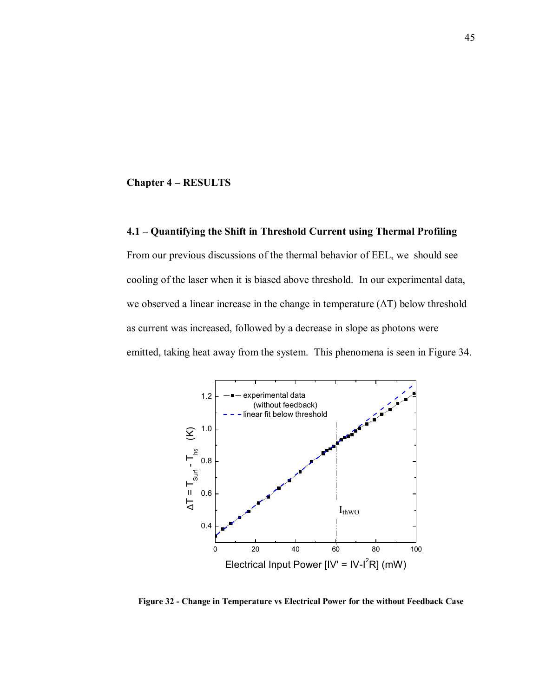#### **Chapter 4 – RESULTS**

# **4.1 – Quantifying the Shift in Threshold Current using Thermal Profiling**

From our previous discussions of the thermal behavior of EEL, we should see cooling of the laser when it is biased above threshold. In our experimental data, we observed a linear increase in the change in temperature (∆T) below threshold as current was increased, followed by a decrease in slope as photons were emitted, taking heat away from the system. This phenomena is seen in Figure 34.



**Figure 32 - Change in Temperature vs Electrical Power for the without Feedback Case**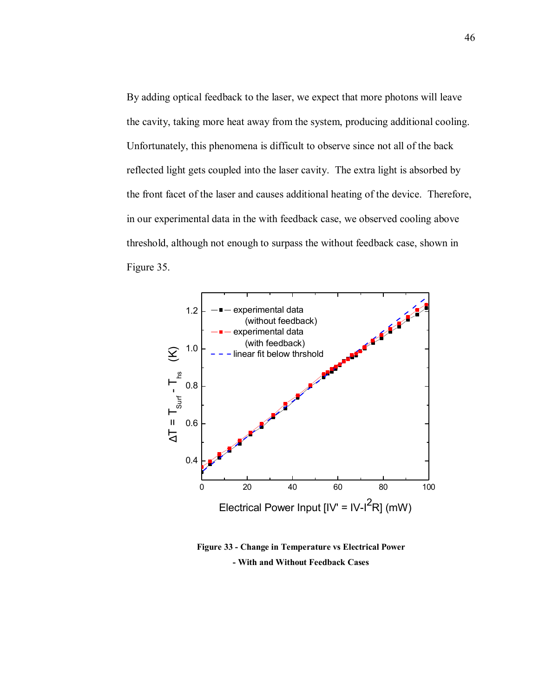By adding optical feedback to the laser, we expect that more photons will leave the cavity, taking more heat away from the system, producing additional cooling. Unfortunately, this phenomena is difficult to observe since not all of the back reflected light gets coupled into the laser cavity. The extra light is absorbed by the front facet of the laser and causes additional heating of the device. Therefore, in our experimental data in the with feedback case, we observed cooling above threshold, although not enough to surpass the without feedback case, shown in Figure 35.



**Figure 33 - Change in Temperature vs Electrical Power - With and Without Feedback Cases**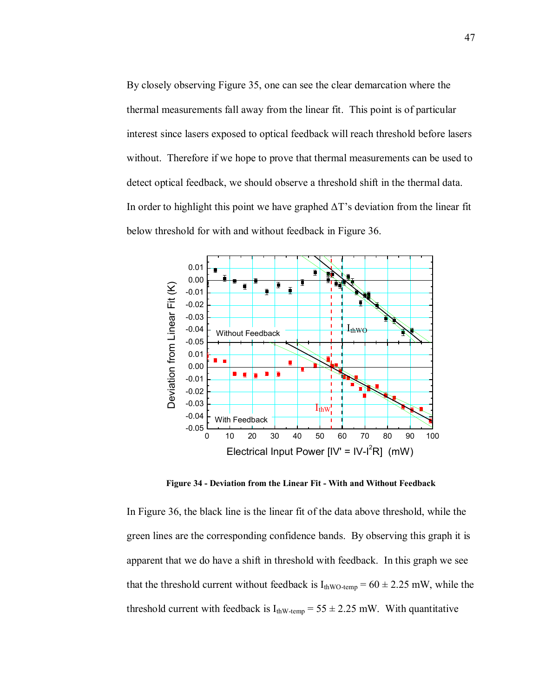By closely observing Figure 35, one can see the clear demarcation where the thermal measurements fall away from the linear fit. This point is of particular interest since lasers exposed to optical feedback will reach threshold before lasers without. Therefore if we hope to prove that thermal measurements can be used to detect optical feedback, we should observe a threshold shift in the thermal data. In order to highlight this point we have graphed  $\Delta T$ 's deviation from the linear fit below threshold for with and without feedback in Figure 36.



**Figure 34 - Deviation from the Linear Fit - With and Without Feedback** 

In Figure 36, the black line is the linear fit of the data above threshold, while the green lines are the corresponding confidence bands. By observing this graph it is apparent that we do have a shift in threshold with feedback. In this graph we see that the threshold current without feedback is  $I_{thWO\text{-temp}} = 60 \pm 2.25 \text{ mW}$ , while the threshold current with feedback is  $I_{thW\text{-temp}} = 55 \pm 2.25 \text{ mW}$ . With quantitative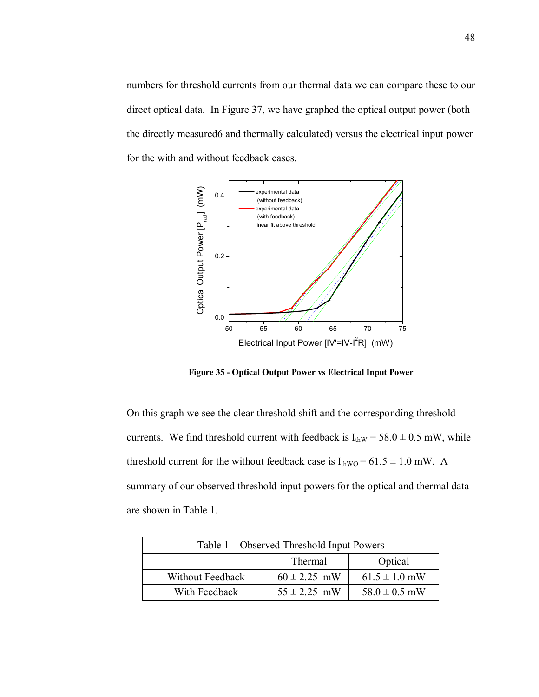numbers for threshold currents from our thermal data we can compare these to our direct optical data. In Figure 37, we have graphed the optical output power (both the directly measured6 and thermally calculated) versus the electrical input power for the with and without feedback cases.



**Figure 35 - Optical Output Power vs Electrical Input Power** 

On this graph we see the clear threshold shift and the corresponding threshold currents. We find threshold current with feedback is  $I_{thW} = 58.0 \pm 0.5$  mW, while threshold current for the without feedback case is  $I_{\text{thWO}} = 61.5 \pm 1.0$  mW. A summary of our observed threshold input powers for the optical and thermal data are shown in Table 1.

| Table 1 – Observed Threshold Input Powers |                  |                   |  |  |
|-------------------------------------------|------------------|-------------------|--|--|
|                                           | Thermal          | Optical           |  |  |
| Without Feedback                          | $60 \pm 2.25$ mW | $61.5 \pm 1.0$ mW |  |  |
| With Feedback                             | $55 \pm 2.25$ mW | $58.0 \pm 0.5$ mW |  |  |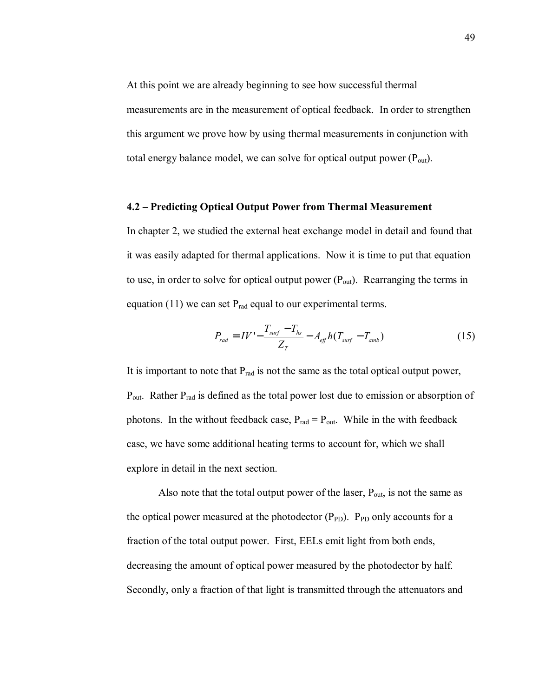At this point we are already beginning to see how successful thermal measurements are in the measurement of optical feedback. In order to strengthen this argument we prove how by using thermal measurements in conjunction with total energy balance model, we can solve for optical output power  $(P_{out})$ .

### **4.2 – Predicting Optical Output Power from Thermal Measurement**

In chapter 2, we studied the external heat exchange model in detail and found that it was easily adapted for thermal applications. Now it is time to put that equation to use, in order to solve for optical output power  $(P_{out})$ . Rearranging the terms in equation (11) we can set  $P_{rad}$  equal to our experimental terms.

$$
P_{rad} = IV' - \frac{T_{surf} - T_{hs}}{Z_T} - A_{eff} h (T_{surf} - T_{amb})
$$
 (15)

It is important to note that  $P_{rad}$  is not the same as the total optical output power,  $P_{out}$ . Rather  $P_{rad}$  is defined as the total power lost due to emission or absorption of photons. In the without feedback case,  $P_{rad} = P_{out}$ . While in the with feedback case, we have some additional heating terms to account for, which we shall explore in detail in the next section.

Also note that the total output power of the laser,  $P_{out}$ , is not the same as the optical power measured at the photodector  $(P_{PD})$ .  $P_{PD}$  only accounts for a fraction of the total output power. First, EELs emit light from both ends, decreasing the amount of optical power measured by the photodector by half. Secondly, only a fraction of that light is transmitted through the attenuators and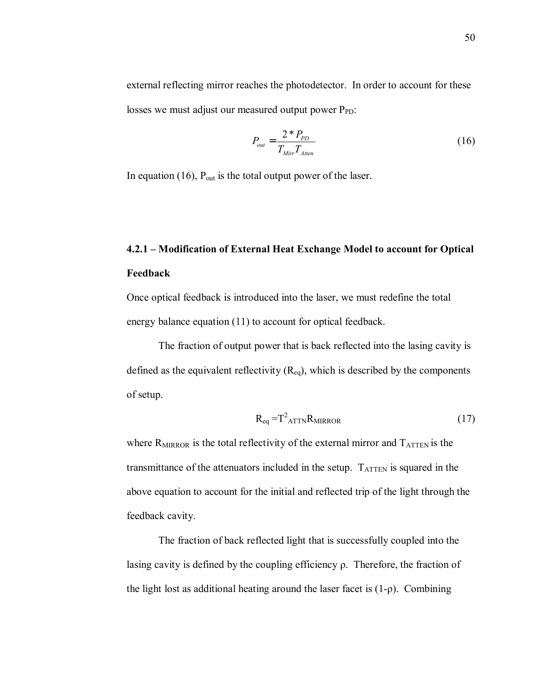external reflecting mirror reaches the photodetector. In order to account for these losses we must adjust our measured output power  $P_{PD}$ :

$$
P_{out} = \frac{2 \cdot P_{PD}}{T_{Mirr} T_{Atten}} \tag{16}
$$

In equation (16),  $P_{out}$  is the total output power of the laser.

# **4.2.1 – Modification of External Heat Exchange Model to account for Optical Feedback**

Once optical feedback is introduced into the laser, we must redefine the total energy balance equation (11) to account for optical feedback.

The fraction of output power that is back reflected into the lasing cavity is defined as the equivalent reflectivity  $(R_{eq})$ , which is described by the components of setup.

$$
R_{eq} = T^2_{ATTN} R_{MIRROR}
$$
 (17)

where  $R_{MIRROR}$  is the total reflectivity of the external mirror and  $T_{ATTEN}$  is the transmittance of the attenuators included in the setup.  $T_{\text{ATTEN}}$  is squared in the above equation to account for the initial and reflected trip of the light through the feedback cavity.

The fraction of back reflected light that is successfully coupled into the lasing cavity is defined by the coupling efficiency  $\rho$ . Therefore, the fraction of the light lost as additional heating around the laser facet is  $(1-\rho)$ . Combining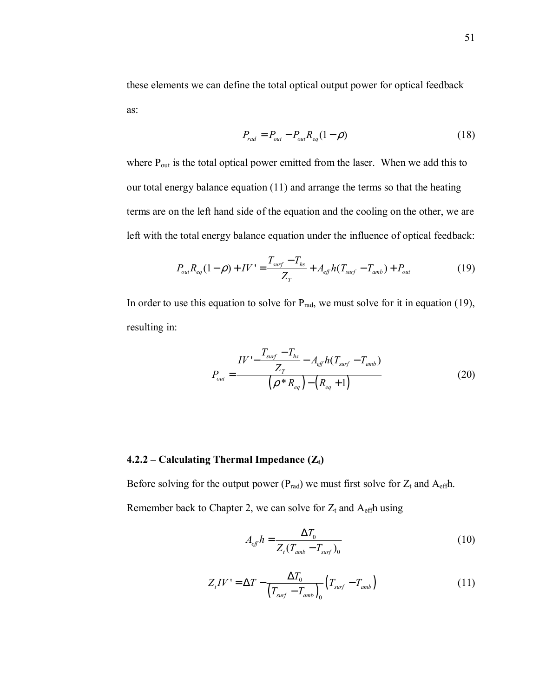these elements we can define the total optical output power for optical feedback as:

$$
P_{rad} = P_{out} - P_{out} R_{eq} (1 - \rho)
$$
 (18)

where P<sub>out</sub> is the total optical power emitted from the laser. When we add this to our total energy balance equation (11) and arrange the terms so that the heating terms are on the left hand side of the equation and the cooling on the other, we are left with the total energy balance equation under the influence of optical feedback:

$$
P_{out}R_{eq}(1-\rho) + IV' = \frac{T_{surf} - T_{hs}}{Z_T} + A_{eff}h(T_{surf} - T_{amb}) + P_{out}
$$
(19)

In order to use this equation to solve for  $P_{rad}$ , we must solve for it in equation (19), resulting in:

$$
P_{out} = \frac{IV - \frac{T_{surf} - T_{hs}}{Z_T} - A_{eff}h(T_{surf} - T_{amb})}{(\rho * R_{eq}) - (R_{eq} + 1)}
$$
(20)

# **4.2.2 – Calculating Thermal Impedance**  $(Z_t)$

Before solving for the output power ( $P_{rad}$ ) we must first solve for  $Z_t$  and  $A_{eff}$ h. Remember back to Chapter 2, we can solve for  $Z_t$  and  $A_{\text{eff}}$ h using

$$
A_{\text{eff}}h = \frac{\Delta T_0}{Z_t(T_{\text{amb}} - T_{\text{surf}})_0}
$$
(10)

$$
Z_t IV' = \Delta T - \frac{\Delta T_0}{\left(T_{surf} - T_{amb}\right)_0} \left(T_{surf} - T_{amb}\right) \tag{11}
$$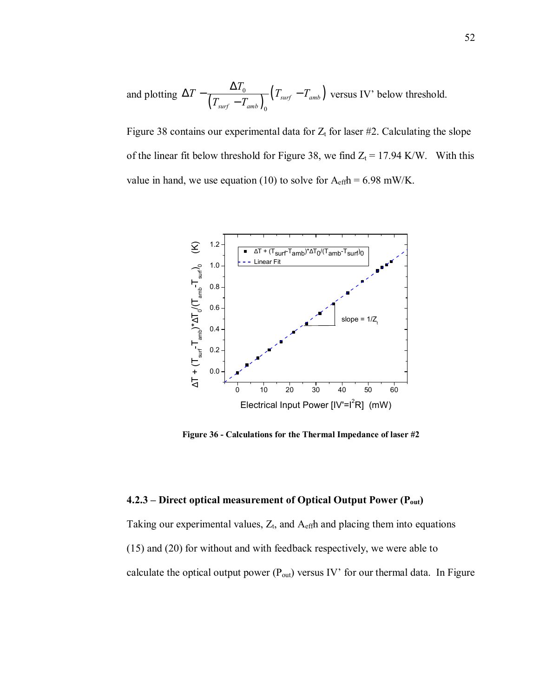and plotting  $\Delta T - \frac{\Delta T_0}{\left( T_{surf} - T_{amb} \right)_0} \left( T_{surf} - T_{amb} \right)$  $\frac{1}{\text{surf}}$   $\frac{1}{\text{amb}}$ *surf amb*  $T - \frac{\Delta T_0}{\Delta T} (T_{surf} - T)$  $\Delta T - \frac{\Delta T_0}{(T_{surf} - T_{amb})_0} (T_{surf} - T_{amb})$  versus IV' below threshold.

Figure 38 contains our experimental data for  $Z_t$  for laser #2. Calculating the slope of the linear fit below threshold for Figure 38, we find  $Z_t = 17.94$  K/W. With this value in hand, we use equation (10) to solve for  $A_{\text{eff}}h = 6.98 \text{ mW/K}$ .



**Figure 36 - Calculations for the Thermal Impedance of laser #2**

# **4.2.3** – Direct optical measurement of Optical Output Power (P<sub>out</sub>)

Taking our experimental values,  $Z_t$ , and  $A_{\text{eff}}$ h and placing them into equations (15) and (20) for without and with feedback respectively, we were able to calculate the optical output power  $(P_{out})$  versus IV' for our thermal data. In Figure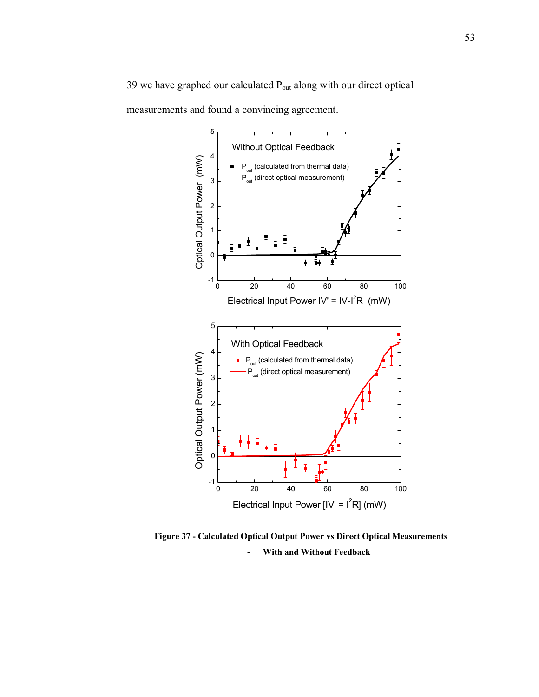39 we have graphed our calculated Pout along with our direct optical measurements and found a convincing agreement.



**Figure 37 - Calculated Optical Output Power vs Direct Optical Measurements**  - **With and Without Feedback**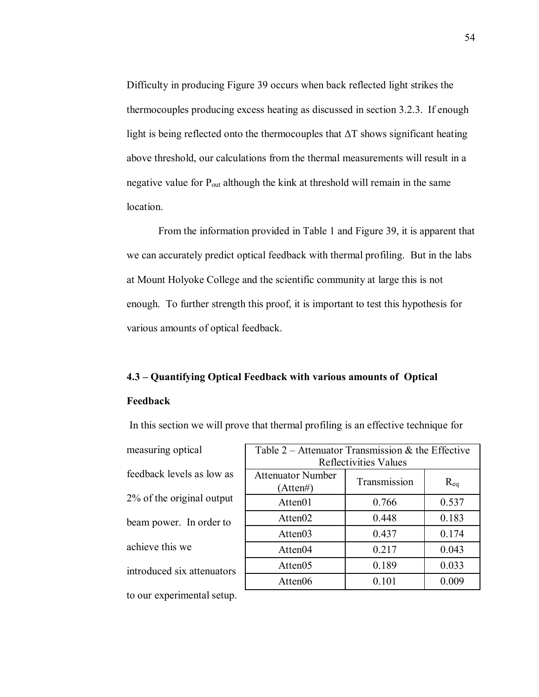Difficulty in producing Figure 39 occurs when back reflected light strikes the thermocouples producing excess heating as discussed in section 3.2.3. If enough light is being reflected onto the thermocouples that ∆T shows significant heating above threshold, our calculations from the thermal measurements will result in a negative value for  $P_{out}$  although the kink at threshold will remain in the same location.

From the information provided in Table 1 and Figure 39, it is apparent that we can accurately predict optical feedback with thermal profiling. But in the labs at Mount Holyoke College and the scientific community at large this is not enough. To further strength this proof, it is important to test this hypothesis for various amounts of optical feedback.

# **4.3 – Quantifying Optical Feedback with various amounts of Optical Feedback**

measuring optical feedback levels as low as 2% of the original output beam power. In order to achieve this we introduced six attenuators to our experimental setup.

| Table 2 – Attenuator Transmission & the Effective<br><b>Reflectivities Values</b> |              |              |
|-----------------------------------------------------------------------------------|--------------|--------------|
| <b>Attenuator Number</b><br>(Atten#)                                              | Transmission | $\rm R_{eq}$ |
| Atten01                                                                           | 0.766        | 0.537        |
| Atten <sub>02</sub>                                                               | 0.448        | 0.183        |
| Atten03                                                                           | 0.437        | 0.174        |
| Atten04                                                                           | 0.217        | 0.043        |
| Atten <sub>05</sub>                                                               | 0.189        | 0.033        |
| Atten06                                                                           | 0.101        | 0.009        |

In this section we will prove that thermal profiling is an effective technique for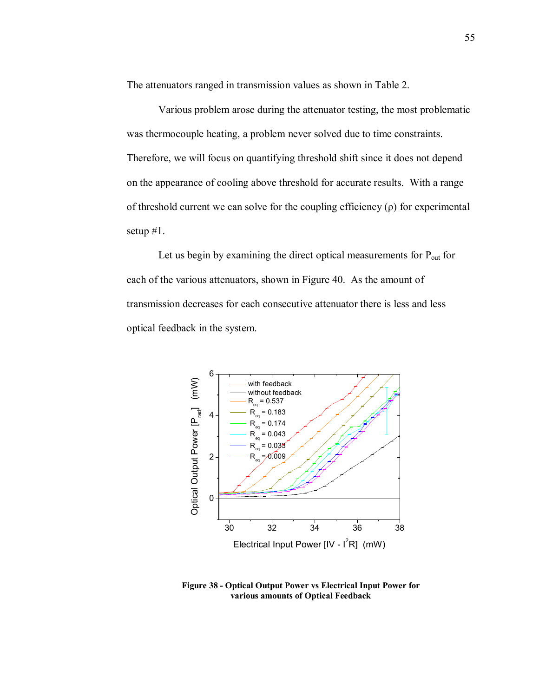The attenuators ranged in transmission values as shown in Table 2.

Various problem arose during the attenuator testing, the most problematic was thermocouple heating, a problem never solved due to time constraints. Therefore, we will focus on quantifying threshold shift since it does not depend on the appearance of cooling above threshold for accurate results. With a range of threshold current we can solve for the coupling efficiency  $(\rho)$  for experimental setup #1.

Let us begin by examining the direct optical measurements for  $P_{out}$  for each of the various attenuators, shown in Figure 40. As the amount of transmission decreases for each consecutive attenuator there is less and less optical feedback in the system.



**Figure 38 - Optical Output Power vs Electrical Input Power for various amounts of Optical Feedback**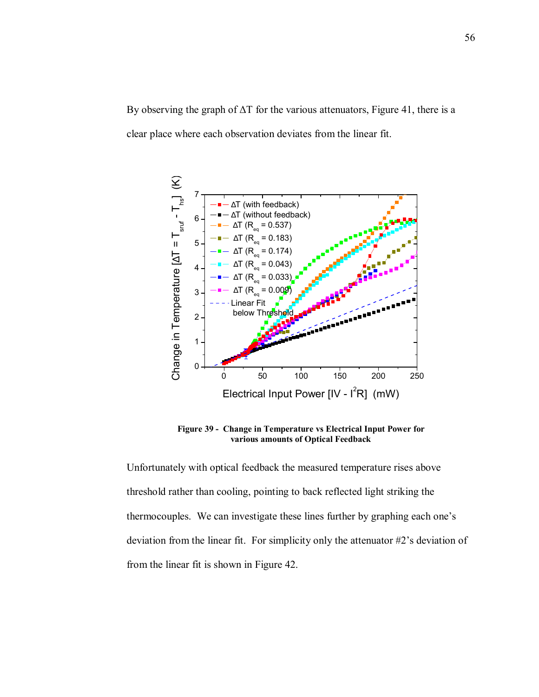By observing the graph of ∆T for the various attenuators, Figure 41, there is a clear place where each observation deviates from the linear fit.



**Figure 39 - Change in Temperature vs Electrical Input Power for various amounts of Optical Feedback** 

Unfortunately with optical feedback the measured temperature rises above threshold rather than cooling, pointing to back reflected light striking the thermocouples. We can investigate these lines further by graphing each one's deviation from the linear fit. For simplicity only the attenuator  $#2$ 's deviation of from the linear fit is shown in Figure 42.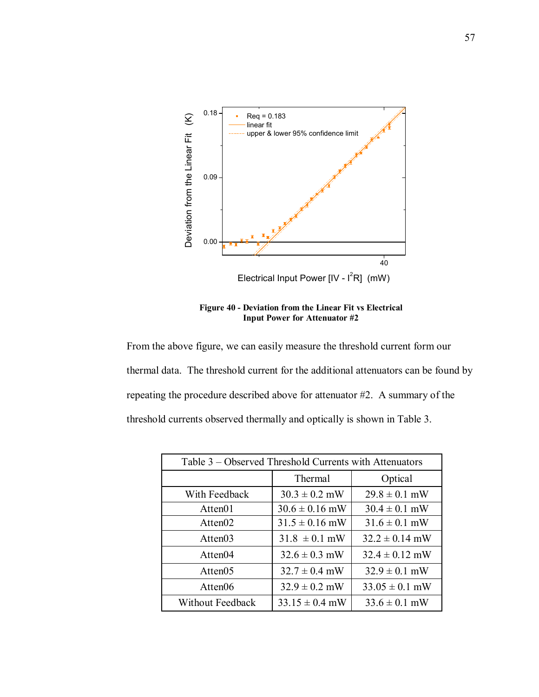

**Figure 40 - Deviation from the Linear Fit vs Electrical Input Power for Attenuator #2** 

From the above figure, we can easily measure the threshold current form our thermal data. The threshold current for the additional attenuators can be found by repeating the procedure described above for attenuator #2. A summary of the threshold currents observed thermally and optically is shown in Table 3.

| Table 3 – Observed Threshold Currents with Attenuators |                    |                    |  |  |
|--------------------------------------------------------|--------------------|--------------------|--|--|
|                                                        | Thermal            | Optical            |  |  |
| With Feedback                                          | $30.3 \pm 0.2$ mW  | $29.8 \pm 0.1$ mW  |  |  |
| Atten01                                                | $30.6 \pm 0.16$ mW | $30.4 \pm 0.1$ mW  |  |  |
| Atten <sub>02</sub>                                    | $31.5 \pm 0.16$ mW | $31.6 \pm 0.1$ mW  |  |  |
| Atten03                                                | $31.8 \pm 0.1$ mW  | $32.2 \pm 0.14$ mW |  |  |
| Atten04                                                | $32.6 \pm 0.3$ mW  | $32.4 \pm 0.12$ mW |  |  |
| Atten05                                                | $32.7 \pm 0.4$ mW  | $32.9 \pm 0.1$ mW  |  |  |
| Atten06                                                | $32.9 \pm 0.2$ mW  | $33.05 \pm 0.1$ mW |  |  |
| Without Feedback                                       | $33.15 \pm 0.4$ mW | $33.6 \pm 0.1$ mW  |  |  |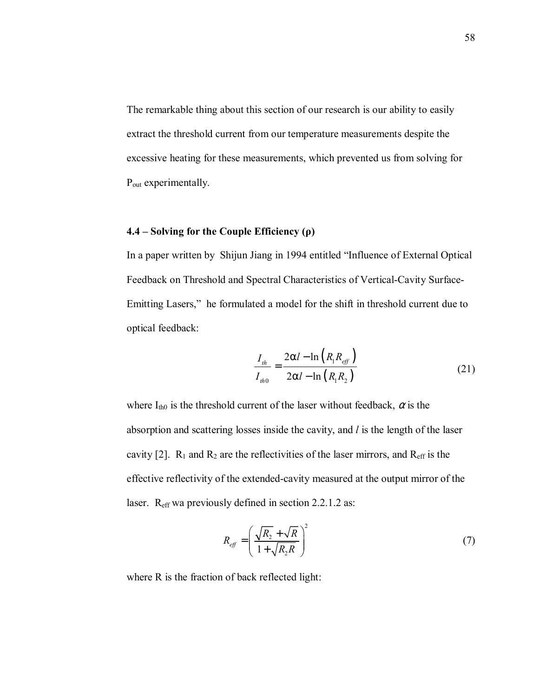The remarkable thing about this section of our research is our ability to easily extract the threshold current from our temperature measurements despite the excessive heating for these measurements, which prevented us from solving for P<sub>out</sub> experimentally.

# **4.4 ñ Solving for the Couple Efficiency (ρ)**

In a paper written by Shijun Jiang in 1994 entitled "Influence of External Optical Feedback on Threshold and Spectral Characteristics of Vertical-Cavity Surface-Emitting Lasers," he formulated a model for the shift in threshold current due to optical feedback:

$$
\frac{I_{th}}{I_{th0}} = \frac{2\alpha l - \ln\left(R_1 R_{\text{eff}}\right)}{2\alpha l - \ln\left(R_1 R_2\right)}\tag{21}
$$

where  $I_{th0}$  is the threshold current of the laser without feedback,  $\alpha$  is the absorption and scattering losses inside the cavity, and *l* is the length of the laser cavity [2].  $R_1$  and  $R_2$  are the reflectivities of the laser mirrors, and  $R_{\text{eff}}$  is the effective reflectivity of the extended-cavity measured at the output mirror of the laser. R<sub>eff</sub> wa previously defined in section 2.2.1.2 as:

$$
R_{\text{eff}} = \left(\frac{\sqrt{R_2} + \sqrt{R}}{1 + \sqrt{R_2 R}}\right)^2 \tag{7}
$$

where R is the fraction of back reflected light: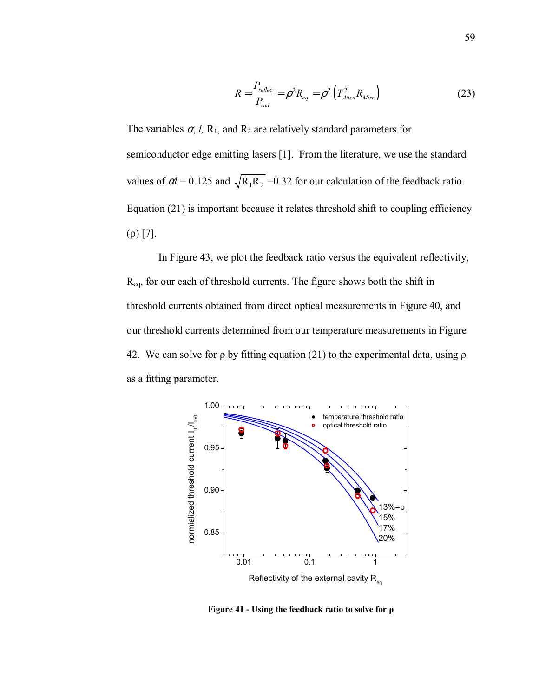$$
R = \frac{P_{\text{reflec}}}{P_{\text{rad}}} = \rho^2 R_{\text{eq}} = \rho^2 \left( T_{\text{Atten}}^2 R_{\text{Mirr}} \right) \tag{23}
$$

The variables  $\alpha$ , *l*, R<sub>1</sub>, and R<sub>2</sub> are relatively standard parameters for semiconductor edge emitting lasers [1]. From the literature, we use the standard values of  $\alpha l = 0.125$  and  $\sqrt{R_1 R_2}$  =0.32 for our calculation of the feedback ratio. Equation (21) is important because it relates threshold shift to coupling efficiency (ρ) [7].

In Figure 43, we plot the feedback ratio versus the equivalent reflectivity, Req, for our each of threshold currents. The figure shows both the shift in threshold currents obtained from direct optical measurements in Figure 40, and our threshold currents determined from our temperature measurements in Figure 42. We can solve for  $\rho$  by fitting equation (21) to the experimental data, using  $\rho$ as a fitting parameter.



**Figure 41 - Using the feedback ratio to solve for ρ**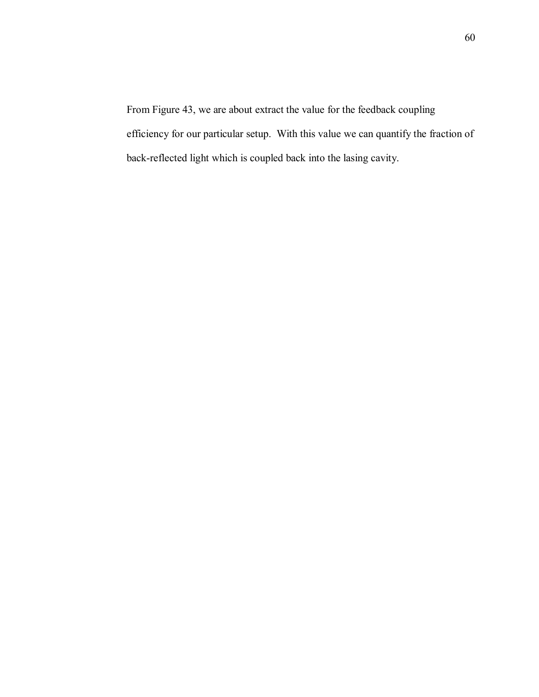From Figure 43, we are about extract the value for the feedback coupling efficiency for our particular setup. With this value we can quantify the fraction of back-reflected light which is coupled back into the lasing cavity.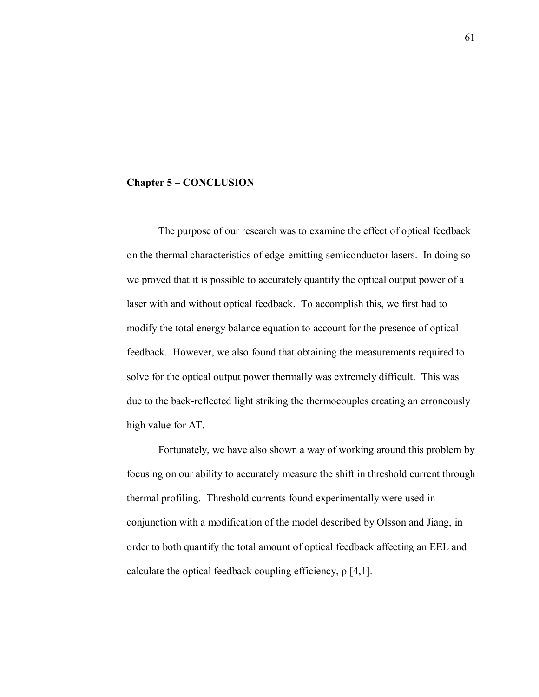#### **Chapter 5 – CONCLUSION**

 The purpose of our research was to examine the effect of optical feedback on the thermal characteristics of edge-emitting semiconductor lasers. In doing so we proved that it is possible to accurately quantify the optical output power of a laser with and without optical feedback. To accomplish this, we first had to modify the total energy balance equation to account for the presence of optical feedback. However, we also found that obtaining the measurements required to solve for the optical output power thermally was extremely difficult. This was due to the back-reflected light striking the thermocouples creating an erroneously high value for ∆T.

 Fortunately, we have also shown a way of working around this problem by focusing on our ability to accurately measure the shift in threshold current through thermal profiling. Threshold currents found experimentally were used in conjunction with a modification of the model described by Olsson and Jiang, in order to both quantify the total amount of optical feedback affecting an EEL and calculate the optical feedback coupling efficiency,  $\rho$  [4,1].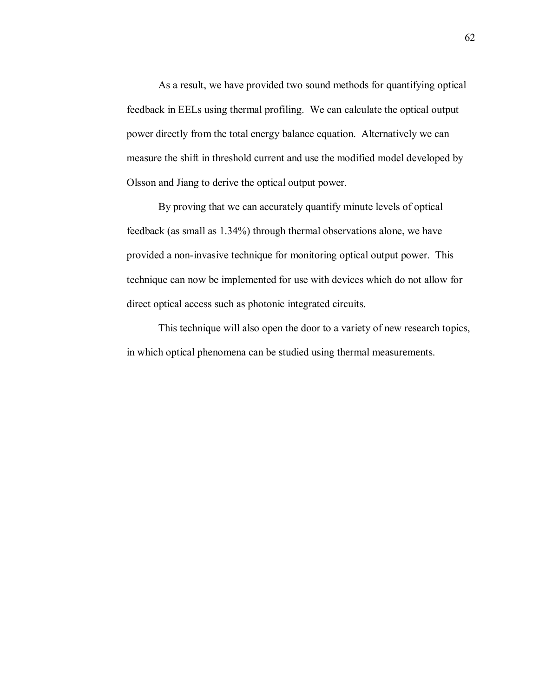As a result, we have provided two sound methods for quantifying optical feedback in EELs using thermal profiling. We can calculate the optical output power directly from the total energy balance equation. Alternatively we can measure the shift in threshold current and use the modified model developed by Olsson and Jiang to derive the optical output power.

 By proving that we can accurately quantify minute levels of optical feedback (as small as 1.34%) through thermal observations alone, we have provided a non-invasive technique for monitoring optical output power. This technique can now be implemented for use with devices which do not allow for direct optical access such as photonic integrated circuits.

This technique will also open the door to a variety of new research topics, in which optical phenomena can be studied using thermal measurements.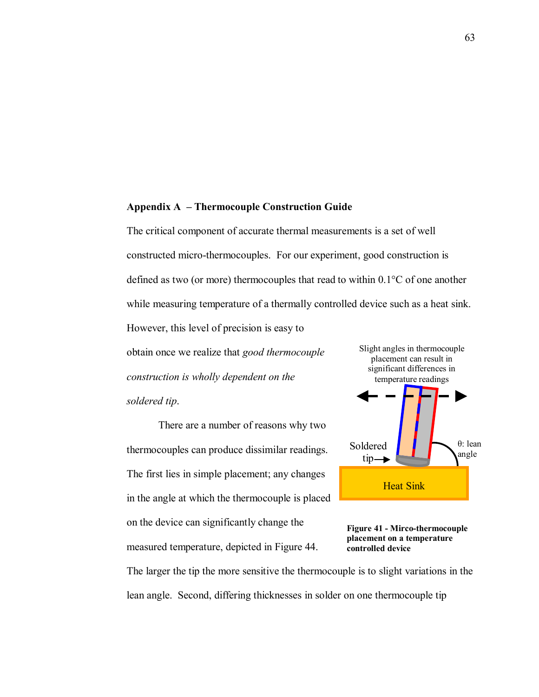# Appendix A - Thermocouple Construction Guide

The critical component of accurate thermal measurements is a set of well constructed micro-thermocouples. For our experiment, good construction is defined as two (or more) thermocouples that read to within 0.1°C of one another while measuring temperature of a thermally controlled device such as a heat sink.

However, this level of precision is easy to

obtain once we realize that *good thermocouple construction is wholly dependent on the soldered tip*.

 There are a number of reasons why two thermocouples can produce dissimilar readings. The first lies in simple placement; any changes in the angle at which the thermocouple is placed on the device can significantly change the measured temperature, depicted in Figure 44.





The larger the tip the more sensitive the thermocouple is to slight variations in the lean angle. Second, differing thicknesses in solder on one thermocouple tip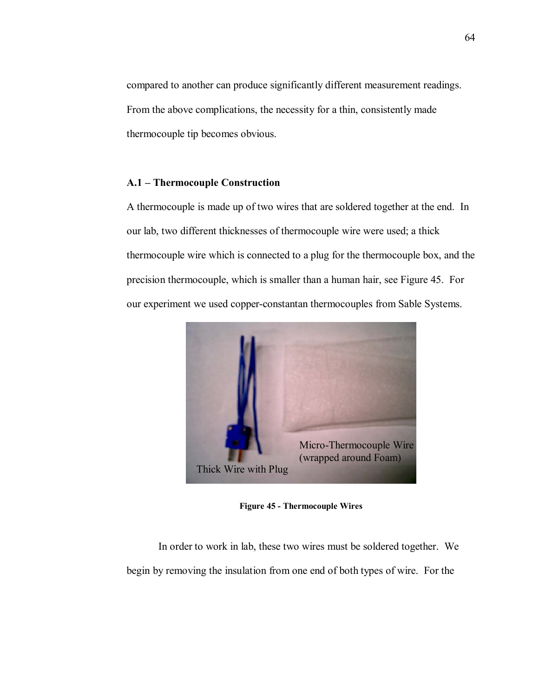compared to another can produce significantly different measurement readings. From the above complications, the necessity for a thin, consistently made thermocouple tip becomes obvious.

# **A.1 – Thermocouple Construction**

A thermocouple is made up of two wires that are soldered together at the end. In our lab, two different thicknesses of thermocouple wire were used; a thick thermocouple wire which is connected to a plug for the thermocouple box, and the precision thermocouple, which is smaller than a human hair, see Figure 45. For our experiment we used copper-constantan thermocouples from Sable Systems.



**Figure 45 - Thermocouple Wires** 

 In order to work in lab, these two wires must be soldered together. We begin by removing the insulation from one end of both types of wire. For the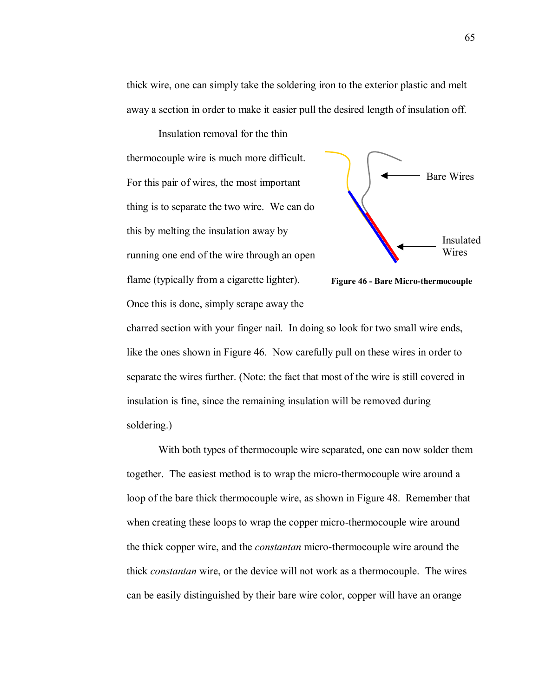thick wire, one can simply take the soldering iron to the exterior plastic and melt away a section in order to make it easier pull the desired length of insulation off.

Insulation removal for the thin thermocouple wire is much more difficult. For this pair of wires, the most important thing is to separate the two wire. We can do this by melting the insulation away by running one end of the wire through an open flame (typically from a cigarette lighter). Once this is done, simply scrape away the





charred section with your finger nail. In doing so look for two small wire ends, like the ones shown in Figure 46. Now carefully pull on these wires in order to separate the wires further. (Note: the fact that most of the wire is still covered in insulation is fine, since the remaining insulation will be removed during soldering.)

 With both types of thermocouple wire separated, one can now solder them together. The easiest method is to wrap the micro-thermocouple wire around a loop of the bare thick thermocouple wire, as shown in Figure 48. Remember that when creating these loops to wrap the copper micro-thermocouple wire around the thick copper wire, and the *constantan* micro-thermocouple wire around the thick *constantan* wire, or the device will not work as a thermocouple. The wires can be easily distinguished by their bare wire color, copper will have an orange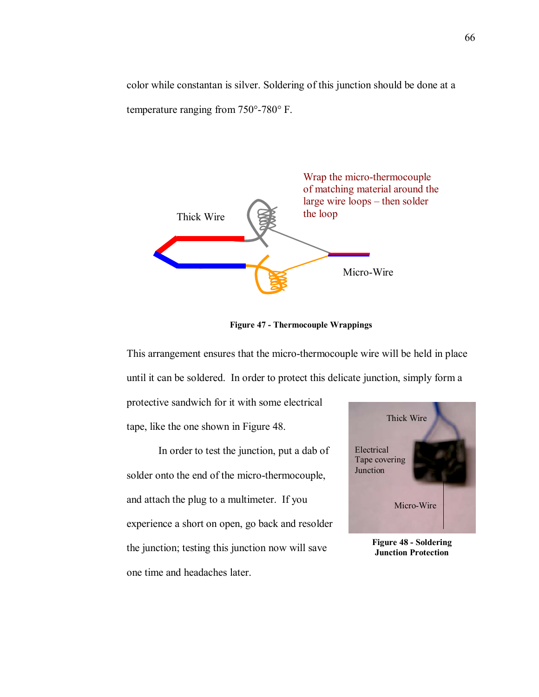color while constantan is silver. Soldering of this junction should be done at a temperature ranging from 750°-780° F.



**Figure 47 - Thermocouple Wrappings** 

This arrangement ensures that the micro-thermocouple wire will be held in place until it can be soldered. In order to protect this delicate junction, simply form a

protective sandwich for it with some electrical tape, like the one shown in Figure 48.

In order to test the junction, put a dab of solder onto the end of the micro-thermocouple, and attach the plug to a multimeter. If you experience a short on open, go back and resolder the junction; testing this junction now will save one time and headaches later.



**Figure 48 - Soldering Junction Protection**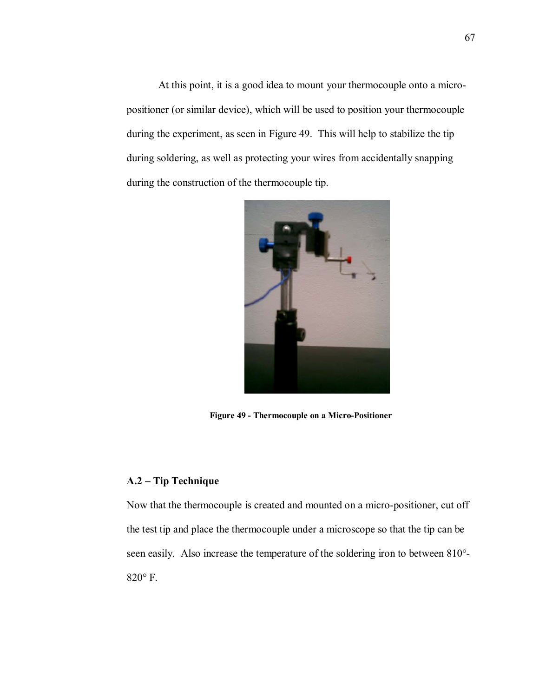At this point, it is a good idea to mount your thermocouple onto a micropositioner (or similar device), which will be used to position your thermocouple during the experiment, as seen in Figure 49. This will help to stabilize the tip during soldering, as well as protecting your wires from accidentally snapping during the construction of the thermocouple tip.



**Figure 49 - Thermocouple on a Micro-Positioner** 

# **A.2 – Tip Technique**

Now that the thermocouple is created and mounted on a micro-positioner, cut off the test tip and place the thermocouple under a microscope so that the tip can be seen easily. Also increase the temperature of the soldering iron to between 810°- 820° F.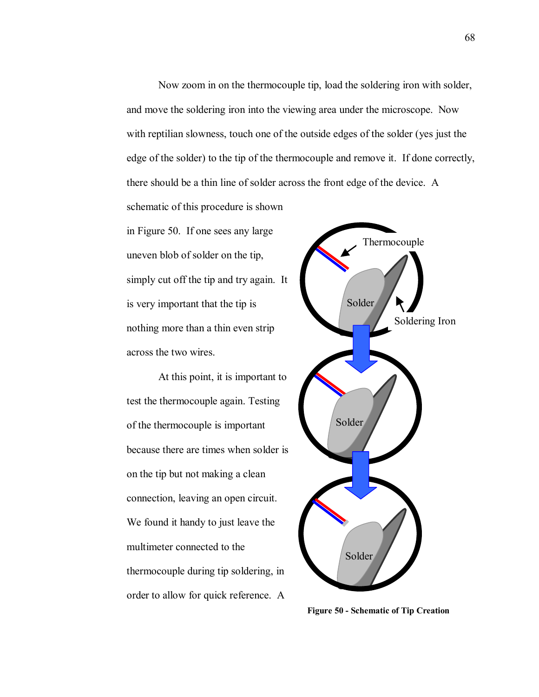Now zoom in on the thermocouple tip, load the soldering iron with solder, and move the soldering iron into the viewing area under the microscope. Now with reptilian slowness, touch one of the outside edges of the solder (yes just the edge of the solder) to the tip of the thermocouple and remove it. If done correctly, there should be a thin line of solder across the front edge of the device. A

schematic of this procedure is shown in Figure 50. If one sees any large uneven blob of solder on the tip, simply cut off the tip and try again. It is very important that the tip is nothing more than a thin even strip across the two wires.

At this point, it is important to test the thermocouple again. Testing of the thermocouple is important because there are times when solder is on the tip but not making a clean connection, leaving an open circuit. We found it handy to just leave the multimeter connected to the thermocouple during tip soldering, in order to allow for quick reference. A



**Figure 50 - Schematic of Tip Creation**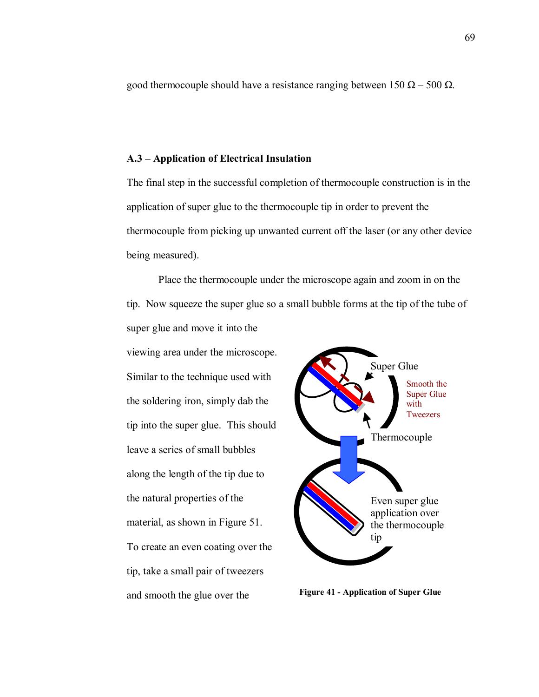good thermocouple should have a resistance ranging between  $150 \Omega - 500 \Omega$ .

### A.3 – Application of Electrical Insulation

The final step in the successful completion of thermocouple construction is in the application of super glue to the thermocouple tip in order to prevent the thermocouple from picking up unwanted current off the laser (or any other device being measured).

Place the thermocouple under the microscope again and zoom in on the tip. Now squeeze the super glue so a small bubble forms at the tip of the tube of super glue and move it into the

viewing area under the microscope. Similar to the technique used with the soldering iron, simply dab the tip into the super glue. This should leave a series of small bubbles along the length of the tip due to the natural properties of the material, as shown in Figure 51. To create an even coating over the tip, take a small pair of tweezers and smooth the glue over the



**Figure 41 - Application of Super Glue**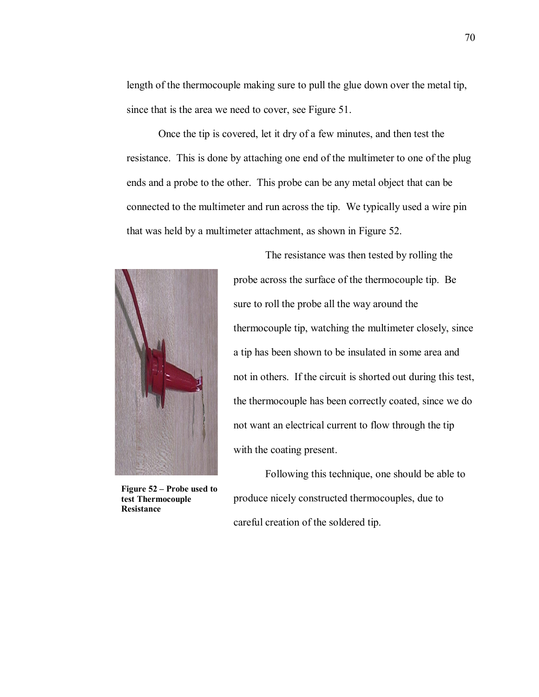length of the thermocouple making sure to pull the glue down over the metal tip, since that is the area we need to cover, see Figure 51.

 Once the tip is covered, let it dry of a few minutes, and then test the resistance. This is done by attaching one end of the multimeter to one of the plug ends and a probe to the other. This probe can be any metal object that can be connected to the multimeter and run across the tip. We typically used a wire pin that was held by a multimeter attachment, as shown in Figure 52.



Figure 52 – Probe used to **test Thermocouple Resistance** 

 The resistance was then tested by rolling the probe across the surface of the thermocouple tip. Be sure to roll the probe all the way around the thermocouple tip, watching the multimeter closely, since a tip has been shown to be insulated in some area and not in others. If the circuit is shorted out during this test, the thermocouple has been correctly coated, since we do not want an electrical current to flow through the tip with the coating present.

 Following this technique, one should be able to produce nicely constructed thermocouples, due to careful creation of the soldered tip.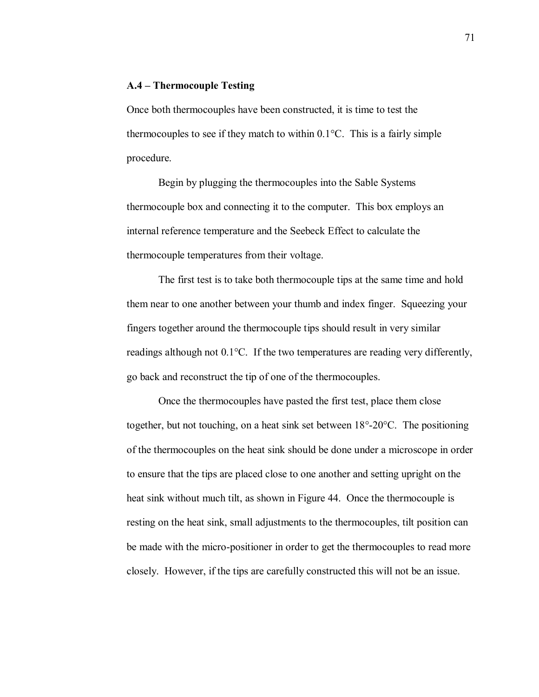# **A.4 – Thermocouple Testing**

Once both thermocouples have been constructed, it is time to test the thermocouples to see if they match to within  $0.1^{\circ}$ C. This is a fairly simple procedure.

Begin by plugging the thermocouples into the Sable Systems thermocouple box and connecting it to the computer. This box employs an internal reference temperature and the Seebeck Effect to calculate the thermocouple temperatures from their voltage.

The first test is to take both thermocouple tips at the same time and hold them near to one another between your thumb and index finger. Squeezing your fingers together around the thermocouple tips should result in very similar readings although not 0.1°C. If the two temperatures are reading very differently, go back and reconstruct the tip of one of the thermocouples.

Once the thermocouples have pasted the first test, place them close together, but not touching, on a heat sink set between 18°-20°C. The positioning of the thermocouples on the heat sink should be done under a microscope in order to ensure that the tips are placed close to one another and setting upright on the heat sink without much tilt, as shown in Figure 44. Once the thermocouple is resting on the heat sink, small adjustments to the thermocouples, tilt position can be made with the micro-positioner in order to get the thermocouples to read more closely. However, if the tips are carefully constructed this will not be an issue.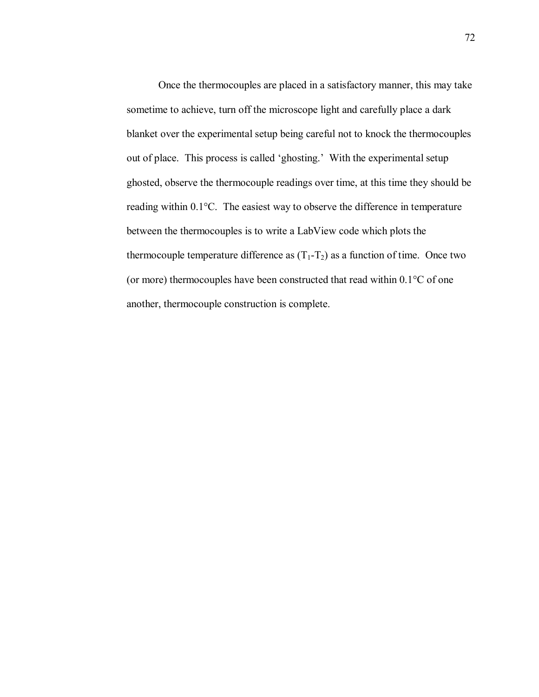Once the thermocouples are placed in a satisfactory manner, this may take sometime to achieve, turn off the microscope light and carefully place a dark blanket over the experimental setup being careful not to knock the thermocouples out of place. This process is called 'ghosting.' With the experimental setup ghosted, observe the thermocouple readings over time, at this time they should be reading within 0.1°C. The easiest way to observe the difference in temperature between the thermocouples is to write a LabView code which plots the thermocouple temperature difference as  $(T_1-T_2)$  as a function of time. Once two (or more) thermocouples have been constructed that read within 0.1°C of one another, thermocouple construction is complete.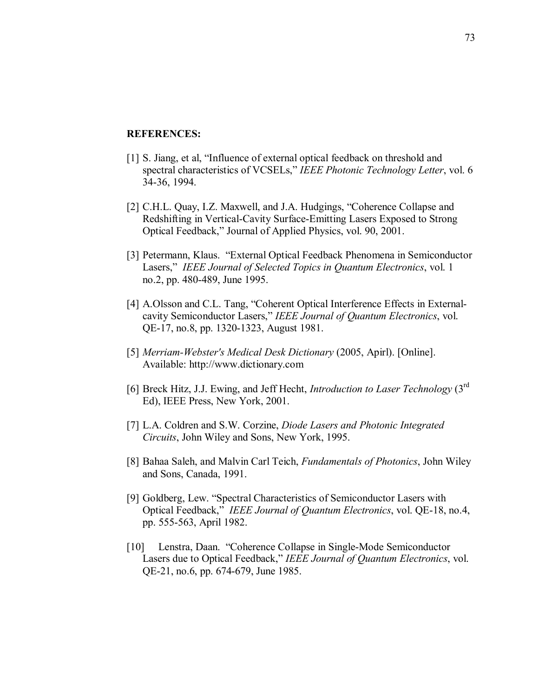### **REFERENCES:**

- [1] S. Jiang, et al, "Influence of external optical feedback on threshold and spectral characteristics of VCSELs," *IEEE Photonic Technology Letter*, vol. 6 34-36, 1994.
- [2] C.H.L. Quay, I.Z. Maxwell, and J.A. Hudgings, "Coherence Collapse and Redshifting in Vertical-Cavity Surface-Emitting Lasers Exposed to Strong Optical Feedback," Journal of Applied Physics, vol. 90, 2001.
- [3] Petermann, Klaus. "External Optical Feedback Phenomena in Semiconductor Lasers," *IEEE Journal of Selected Topics in Quantum Electronics*, vol. 1 no.2, pp. 480-489, June 1995.
- [4] A.Olsson and C.L. Tang, "Coherent Optical Interference Effects in Externalcavity Semiconductor Lasers,î *IEEE Journal of Quantum Electronics*, vol. QE-17, no.8, pp. 1320-1323, August 1981.
- [5] *Merriam-Webster's Medical Desk Dictionary* (2005, Apirl). [Online]. Available: http://www.dictionary.com
- [6] Breck Hitz, J.J. Ewing, and Jeff Hecht, *Introduction to Laser Technology* (3rd Ed), IEEE Press, New York, 2001.
- [7] L.A. Coldren and S.W. Corzine, *Diode Lasers and Photonic Integrated Circuits*, John Wiley and Sons, New York, 1995.
- [8] Bahaa Saleh, and Malvin Carl Teich, *Fundamentals of Photonics*, John Wiley and Sons, Canada, 1991.
- [9] Goldberg, Lew. "Spectral Characteristics of Semiconductor Lasers with Optical Feedback,î *IEEE Journal of Quantum Electronics*, vol. QE-18, no.4, pp. 555-563, April 1982.
- [10] Lenstra, Daan. "Coherence Collapse in Single-Mode Semiconductor Lasers due to Optical Feedback,î *IEEE Journal of Quantum Electronics*, vol. QE-21, no.6, pp. 674-679, June 1985.